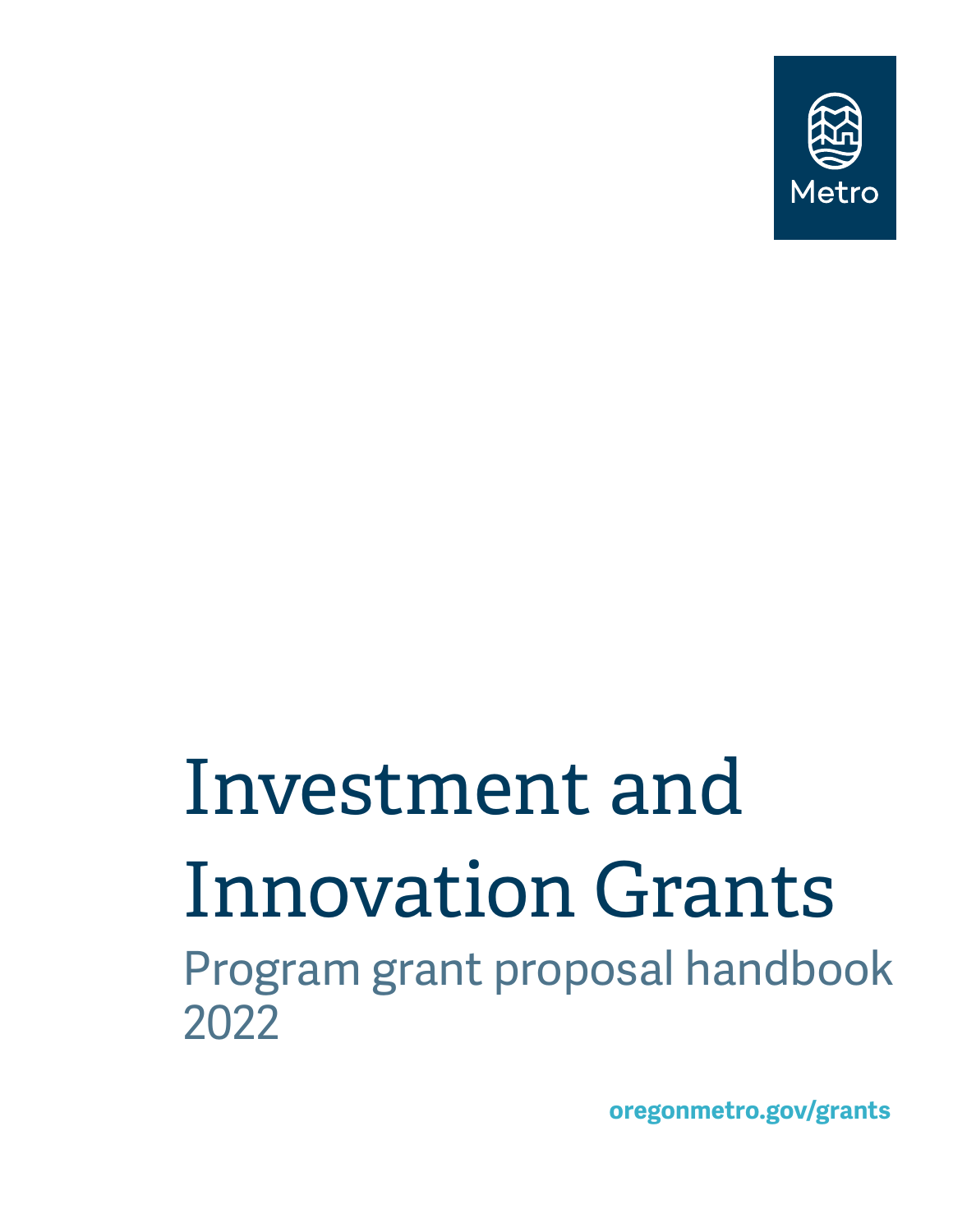

# Investment and Innovation Grants

Program grant proposal handbook 2022

**oregonmetro.gov/grants**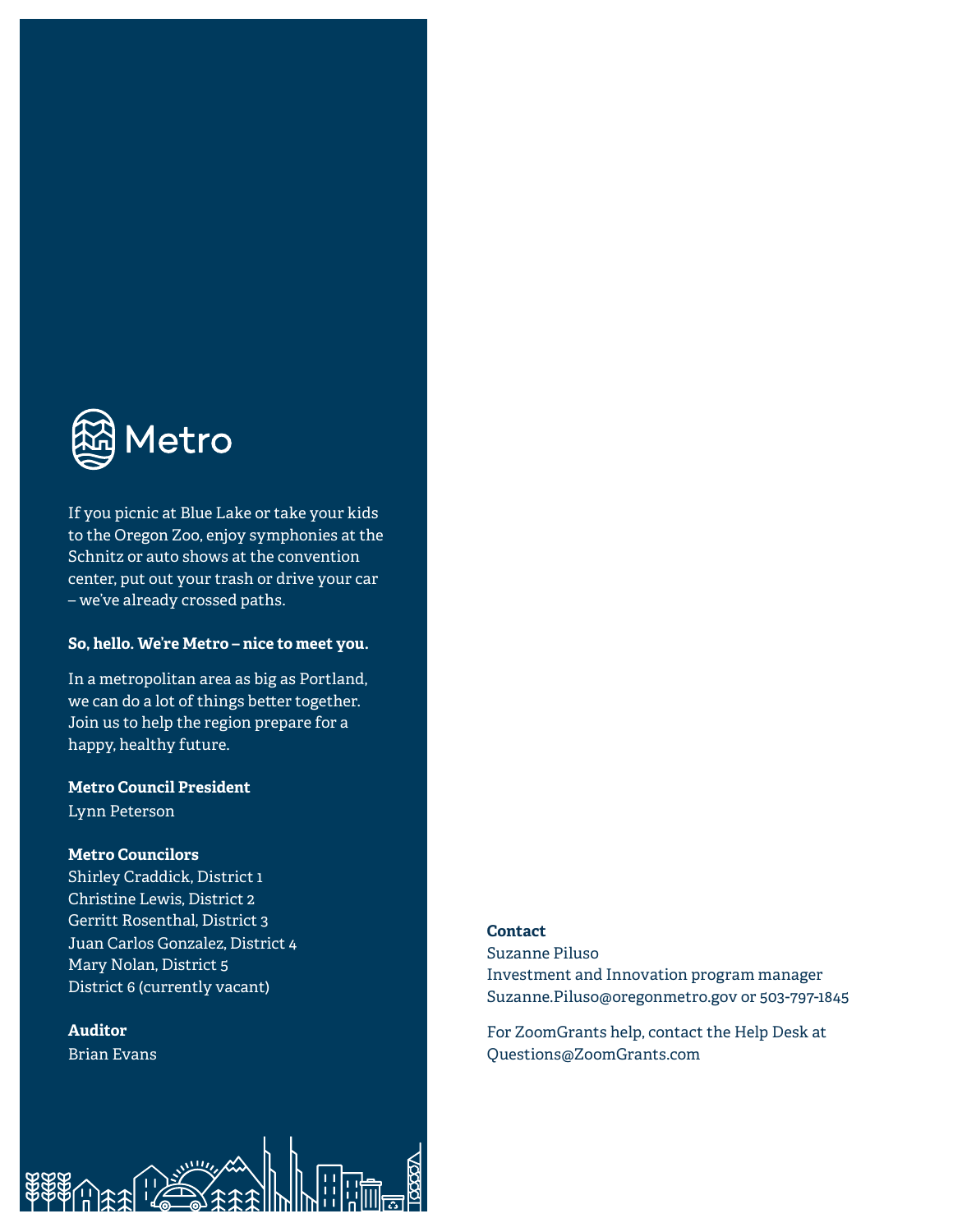

If you picnic at Blue Lake or take your kids to the Oregon Zoo, enjoy symphonies at the Schnitz or auto shows at the convention center, put out your trash or drive your car – we've already crossed paths.

#### **So, hello. We're Metro – nice to meet you.**

In a metropolitan area as big as Portland, we can do a lot of things better together. Join us to help the region prepare for a happy, healthy future.

### **Metro Council President**

Lynn Peterson

#### **Metro Councilors**

Shirley Craddick, District 1 Christine Lewis, District 2 Gerritt Rosenthal, District 3 Juan Carlos Gonzalez, District 4 Mary Nolan, District 5 District 6 (currently vacant)

 $\mathcal{L}$ 

# **Auditor**

Brian Evans

#### **Contact**

Suzanne Piluso Investment and Innovation program manager Suzanne.Piluso@oregonmetro.gov or 503-797-1845

For ZoomGrants help, contact the Help Desk at Questions@ZoomGrants.com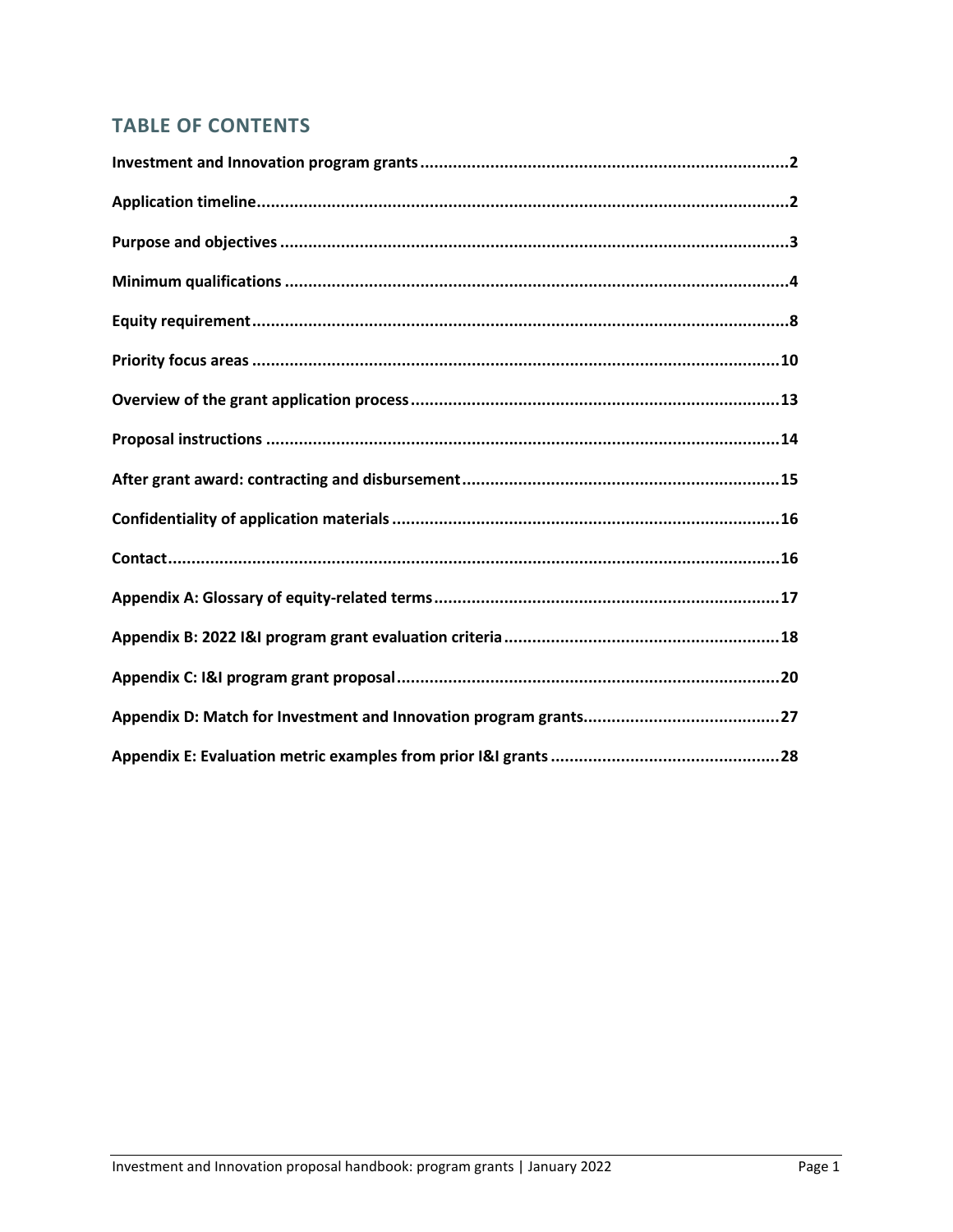# **TABLE OF CONTENTS**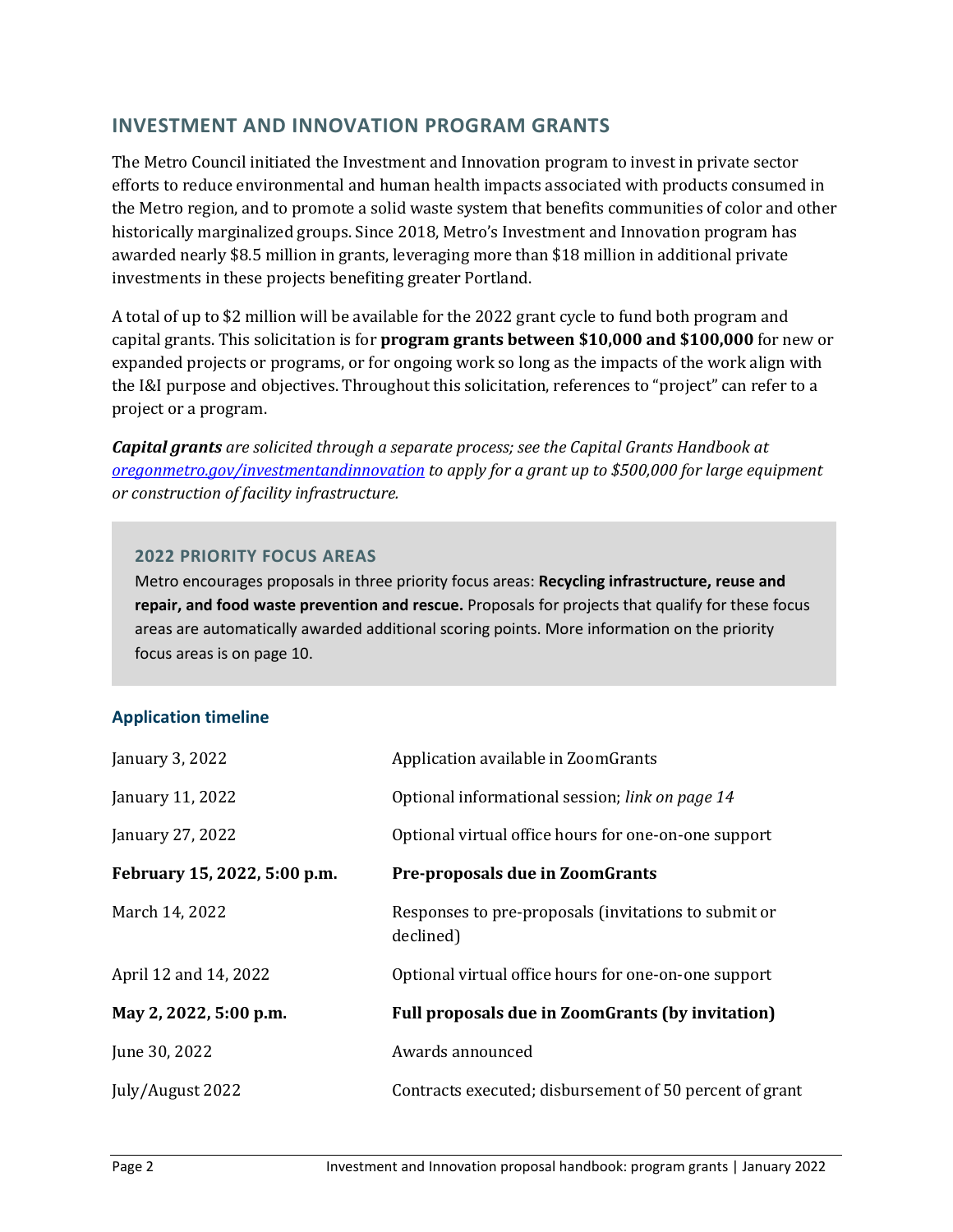# **INVESTMENT AND INNOVATION PROGRAM GRANTS**

The Metro Council initiated the Investment and Innovation program to invest in private sector efforts to reduce environmental and human health impacts associated with products consumed in the Metro region, and to promote a solid waste system that benefits communities of color and other historically marginalized groups. Since 2018, Metro's Investment and Innovation program has awarded nearly \$8.5 million in grants, leveraging more than \$18 million in additional private investments in these projects benefiting greater Portland.

A total of up to \$2 million will be available for the 2022 grant cycle to fund both program and capital grants. This solicitation is for **program grants between \$10,000 and \$100,000** for new or expanded projects or programs, or for ongoing work so long as the impacts of the work align with the I&I purpose and objectives. Throughout this solicitation, references to "project" can refer to a project or a program.

*Capital grants are solicited through a separate process; see the Capital Grants Handbook at [oregonmetro.gov/investmentandinnovation](https://www.oregonmetro.gov/tools-partners/grants-and-resources/investment-and-innovation-grants) to apply for a grant up to \$500,000 for large equipment or construction of facility infrastructure.*

## **2022 PRIORITY FOCUS AREAS**

Metro encourages proposals in three priority focus areas: **Recycling infrastructure, reuse and repair, and food waste prevention and rescue.** Proposals for projects that qualify for these focus areas are automatically awarded additional scoring points. More information on the priority focus areas is on page 10.

# **Application timeline**

| January 3, 2022              | Application available in ZoomGrants                               |
|------------------------------|-------------------------------------------------------------------|
| January 11, 2022             | Optional informational session; link on page 14                   |
| January 27, 2022             | Optional virtual office hours for one-on-one support              |
| February 15, 2022, 5:00 p.m. | <b>Pre-proposals due in ZoomGrants</b>                            |
| March 14, 2022               | Responses to pre-proposals (invitations to submit or<br>declined) |
| April 12 and 14, 2022        | Optional virtual office hours for one-on-one support              |
| May 2, 2022, 5:00 p.m.       | Full proposals due in ZoomGrants (by invitation)                  |
| June 30, 2022                | Awards announced                                                  |
| July/August 2022             | Contracts executed; disbursement of 50 percent of grant           |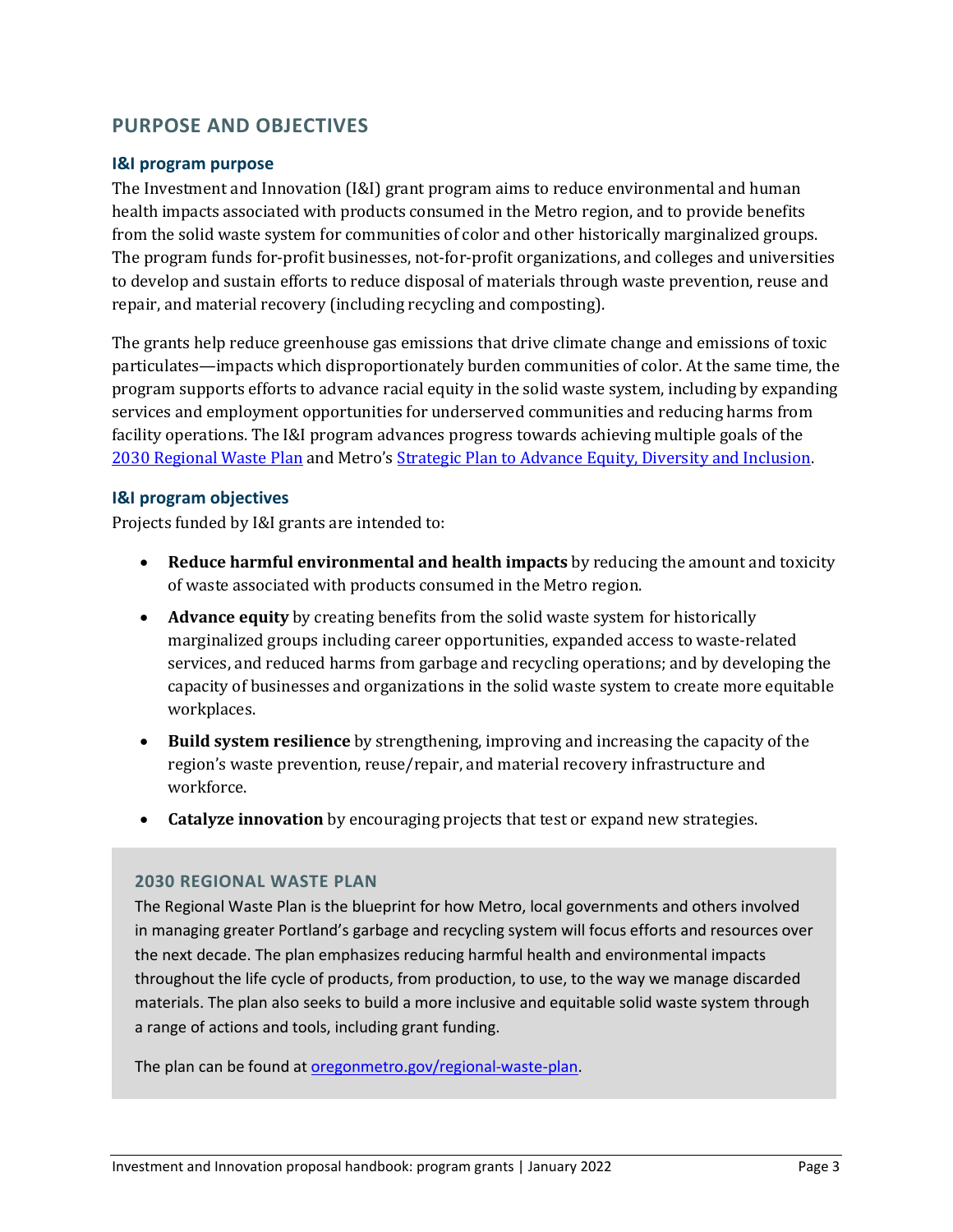# **PURPOSE AND OBJECTIVES**

#### **I&I program purpose**

The Investment and Innovation (I&I) grant program aims to reduce environmental and human health impacts associated with products consumed in the Metro region, and to provide benefits from the solid waste system for communities of color and other historically marginalized groups. The program funds for-profit businesses, not-for-profit organizations, and colleges and universities to develop and sustain efforts to reduce disposal of materials through waste prevention, reuse and repair, and material recovery (including recycling and composting).

The grants help reduce greenhouse gas emissions that drive climate change and emissions of toxic particulates—impacts which disproportionately burden communities of color. At the same time, the program supports efforts to advance racial equity in the solid waste system, including by expanding services and employment opportunities for underserved communities and reducing harms from facility operations. The I&I program advances progress towards achieving multiple goals of the [2030 Regional Waste Plan](https://www.oregonmetro.gov/regional-waste-plan) and Metro's [Strategic Plan to Advance Equity, Diversity and Inclusion.](https://www.oregonmetro.gov/equity-strategy-0)

#### **I&I program objectives**

Projects funded by I&I grants are intended to:

- **Reduce harmful environmental and health impacts** by reducing the amount and toxicity of waste associated with products consumed in the Metro region.
- **Advance equity** by creating benefits from the solid waste system for historically marginalized groups including career opportunities, expanded access to waste-related services, and reduced harms from garbage and recycling operations; and by developing the capacity of businesses and organizations in the solid waste system to create more equitable workplaces.
- **Build system resilience** by strengthening, improving and increasing the capacity of the region's waste prevention, reuse/repair, and material recovery infrastructure and workforce.
- **Catalyze innovation** by encouraging projects that test or expand new strategies.

#### **2030 REGIONAL WASTE PLAN**

The Regional Waste Plan is the blueprint for how Metro, local governments and others involved in managing greater Portland's garbage and recycling system will focus efforts and resources over the next decade. The plan emphasizes reducing harmful health and environmental impacts throughout the life cycle of products, from production, to use, to the way we manage discarded materials. The plan also seeks to build a more inclusive and equitable solid waste system through a range of actions and tools, including grant funding.

The plan can be found at [oregonmetro.gov/regional-waste-plan.](https://www.oregonmetro.gov/regional-waste-plan)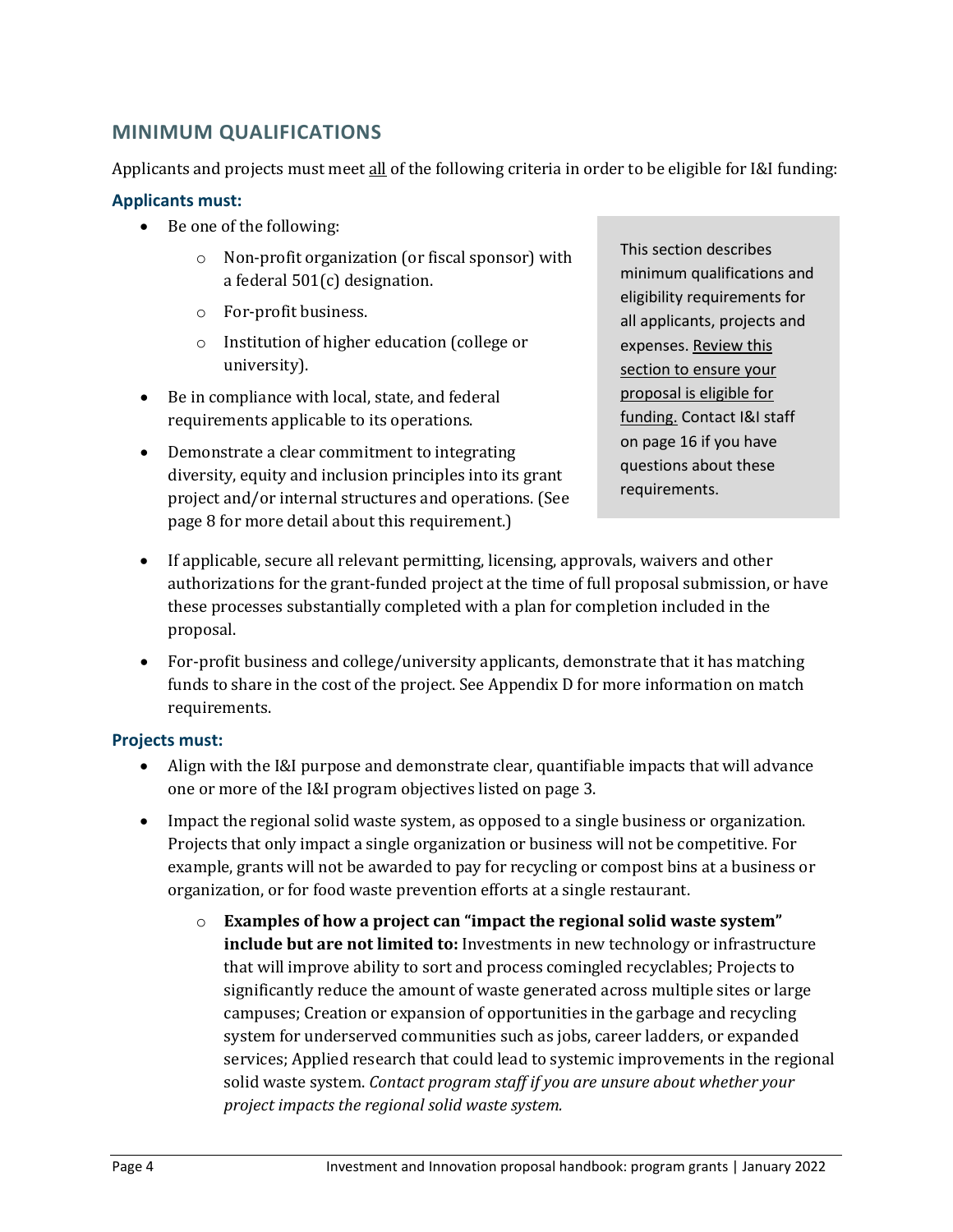# **MINIMUM QUALIFICATIONS**

Applicants and projects must meet all of the following criteria in order to be eligible for I&I funding:

### **Applicants must:**

- Be one of the following:
	- o Non-profit organization (or fiscal sponsor) with a federal 501(c) designation.
	- o For-profit business.
	- o Institution of higher education (college or university).
- Be in compliance with local, state, and federal requirements applicable to its operations.
- Demonstrate a clear commitment to integrating diversity, equity and inclusion principles into its grant project and/or internal structures and operations. (See page 8 for more detail about this requirement.)

This section describes minimum qualifications and eligibility requirements for all applicants, projects and expenses. Review this section to ensure your proposal is eligible for funding. Contact I&I staff on page 16 if you have questions about these requirements.

- If applicable, secure all relevant permitting, licensing, approvals, waivers and other authorizations for the grant-funded project at the time of full proposal submission, or have these processes substantially completed with a plan for completion included in the proposal.
- For-profit business and college/university applicants, demonstrate that it has matching funds to share in the cost of the project. See Appendix D for more information on match requirements.

# **Projects must:**

- Align with the I&I purpose and demonstrate clear, quantifiable impacts that will advance one or more of the I&I program objectives listed on page 3.
- Impact the regional solid waste system, as opposed to a single business or organization. Projects that only impact a single organization or business will not be competitive. For example, grants will not be awarded to pay for recycling or compost bins at a business or organization, or for food waste prevention efforts at a single restaurant.
	- o **Examples of how a project can "impact the regional solid waste system" include but are not limited to:** Investments in new technology or infrastructure that will improve ability to sort and process comingled recyclables; Projects to significantly reduce the amount of waste generated across multiple sites or large campuses; Creation or expansion of opportunities in the garbage and recycling system for underserved communities such as jobs, career ladders, or expanded services; Applied research that could lead to systemic improvements in the regional solid waste system. *Contact program staff if you are unsure about whether your project impacts the regional solid waste system.*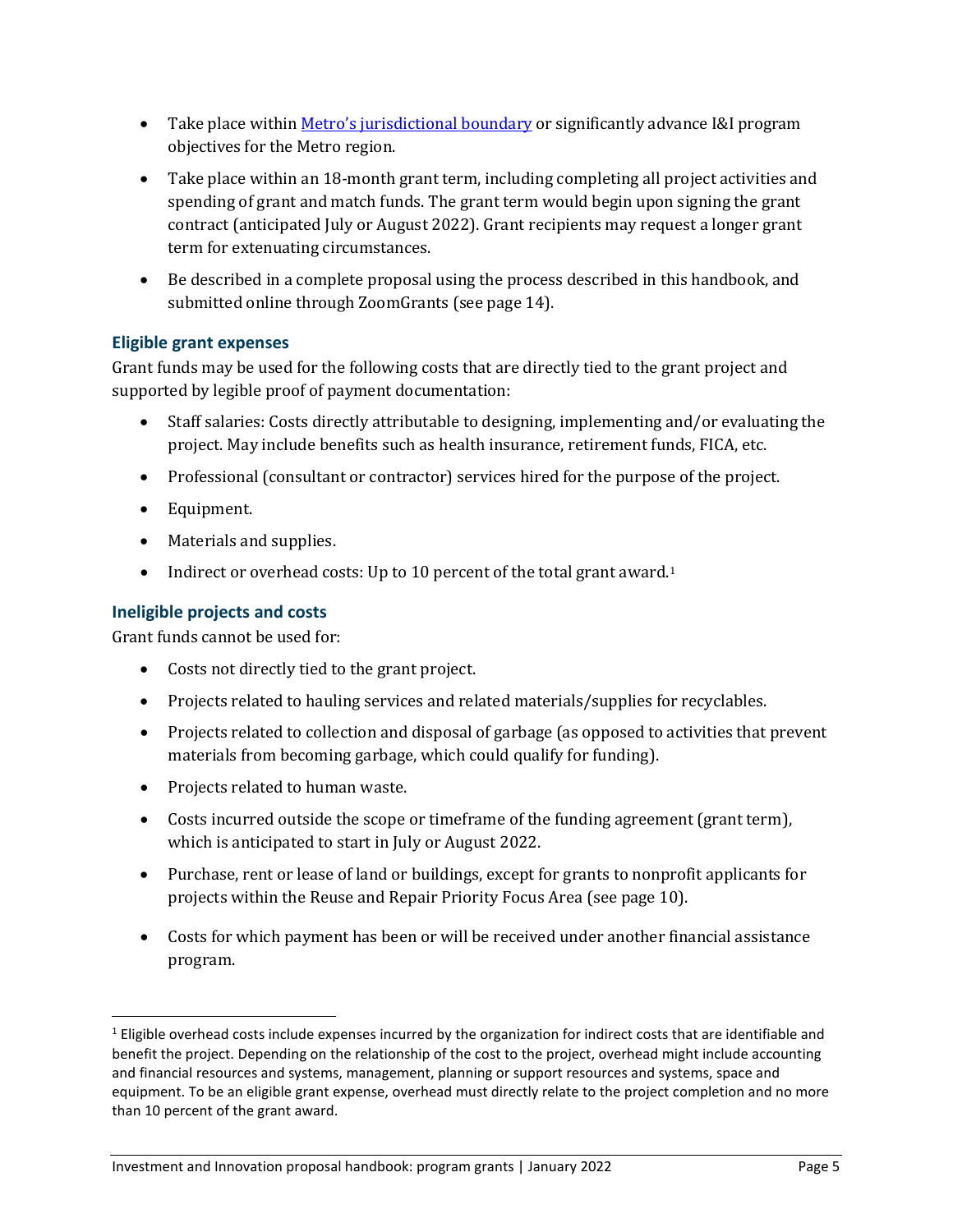- Take place within *Metro's* jurisdictional boundary or significantly advance I&I program objectives for the Metro region.
- Take place within an 18-month grant term, including completing all project activities and spending of grant and match funds. The grant term would begin upon signing the grant contract (anticipated July or August 2022). Grant recipients may request a longer grant term for extenuating circumstances.
- Be described in a complete proposal using the process described in this handbook, and submitted online through ZoomGrants (see page 14).

# **Eligible grant expenses**

Grant funds may be used for the following costs that are directly tied to the grant project and supported by legible proof of payment documentation:

- Staff salaries: Costs directly attributable to designing, implementing and/or evaluating the project. May include benefits such as health insurance, retirement funds, FICA, etc.
- Professional (consultant or contractor) services hired for the purpose of the project.
- Equipment.
- Materials and supplies.
- Indirect or overhead costs: Up to [1](#page-6-0)0 percent of the total grant award.<sup>1</sup>

# **Ineligible projects and costs**

Grant funds cannot be used for:

- Costs not directly tied to the grant project.
- Projects related to hauling services and related materials/supplies for recyclables.
- Projects related to collection and disposal of garbage (as opposed to activities that prevent materials from becoming garbage, which could qualify for funding).
- Projects related to human waste.
- Costs incurred outside the scope or timeframe of the funding agreement (grant term), which is anticipated to start in July or August 2022.
- Purchase, rent or lease of land or buildings, except for grants to nonprofit applicants for projects within the Reuse and Repair Priority Focus Area (see page 10).
- Costs for which payment has been or will be received under another financial assistance program.

<span id="page-6-0"></span><sup>&</sup>lt;sup>1</sup> Eligible overhead costs include expenses incurred by the organization for indirect costs that are identifiable and benefit the project. Depending on the relationship of the cost to the project, overhead might include accounting and financial resources and systems, management, planning or support resources and systems, space and equipment. To be an eligible grant expense, overhead must directly relate to the project completion and no more than 10 percent of the grant award.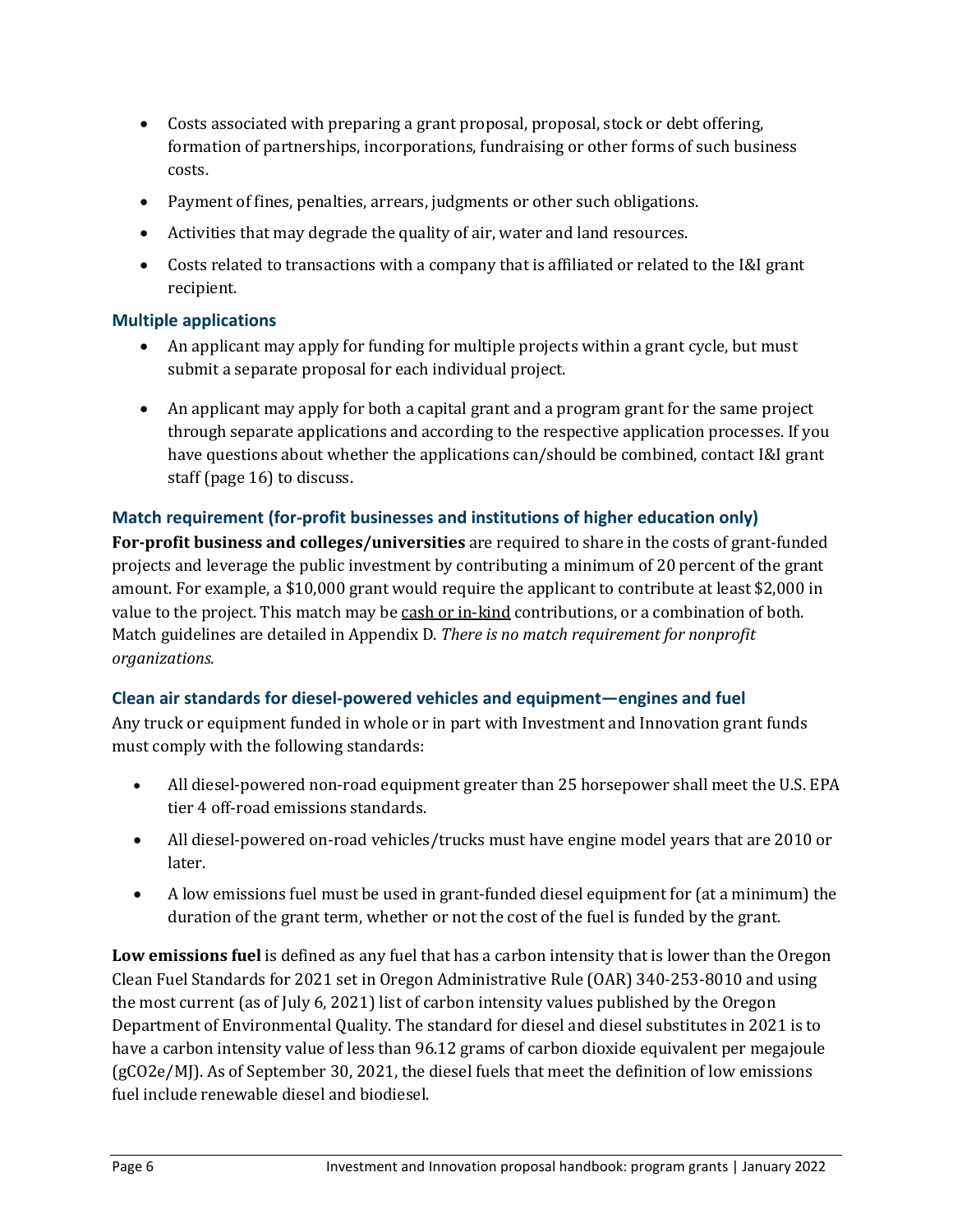- Costs associated with preparing a grant proposal, proposal, stock or debt offering, formation of partnerships, incorporations, fundraising or other forms of such business costs.
- Payment of fines, penalties, arrears, judgments or other such obligations.
- Activities that may degrade the quality of air, water and land resources.
- Costs related to transactions with a company that is affiliated or related to the I&I grant recipient.

# **Multiple applications**

- An applicant may apply for funding for multiple projects within a grant cycle, but must submit a separate proposal for each individual project.
- An applicant may apply for both a capital grant and a program grant for the same project through separate applications and according to the respective application processes. If you have questions about whether the applications can/should be combined, contact I&I grant staff (page 16) to discuss.

# **Match requirement (for-profit businesses and institutions of higher education only)**

**For-profit business and colleges/universities** are required to share in the costs of grant-funded projects and leverage the public investment by contributing a minimum of 20 percent of the grant amount. For example, a \$10,000 grant would require the applicant to contribute at least \$2,000 in value to the project. This match may be cash or in-kind contributions, or a combination of both. Match guidelines are detailed in Appendix D. *There is no match requirement for nonprofit organizations.*

# **Clean air standards for diesel-powered vehicles and equipment—engines and fuel**

Any truck or equipment funded in whole or in part with Investment and Innovation grant funds must comply with the following standards:

- All diesel-powered non-road equipment greater than 25 horsepower shall meet the U.S. EPA tier 4 off-road emissions standards.
- All diesel-powered on-road vehicles/trucks must have engine model years that are 2010 or later.
- A low emissions fuel must be used in grant-funded diesel equipment for (at a minimum) the duration of the grant term, whether or not the cost of the fuel is funded by the grant.

**Low emissions fuel** is defined as any fuel that has a carbon intensity that is lower than the Oregon Clean Fuel Standards for 2021 set in Oregon Administrative Rule (OAR) 340-253-8010 and using the most current (as of July 6, 2021) list of carbon intensity values published by the Oregon Department of Environmental Quality. The standard for diesel and diesel substitutes in 2021 is to have a carbon intensity value of less than 96.12 grams of carbon dioxide equivalent per megajoule (gCO2e/MJ). As of September 30, 2021, the diesel fuels that meet the definition of low emissions fuel include renewable diesel and biodiesel.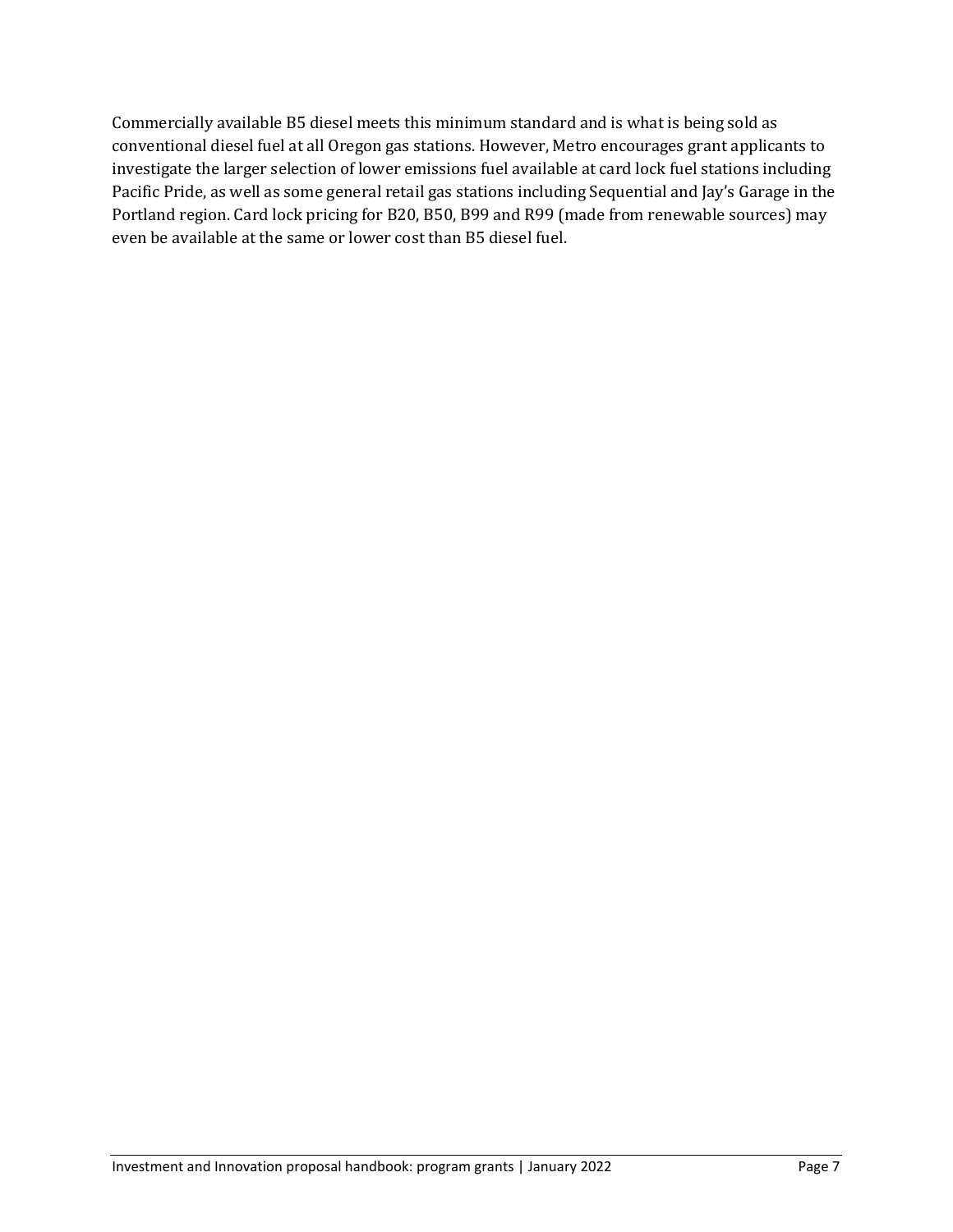Commercially available B5 diesel meets this minimum standard and is what is being sold as conventional diesel fuel at all Oregon gas stations. However, Metro encourages grant applicants to investigate the larger selection of lower emissions fuel available at card lock fuel stations including Pacific Pride, as well as some general retail gas stations including Sequential and Jay's Garage in the Portland region. Card lock pricing for B20, B50, B99 and R99 (made from renewable sources) may even be available at the same or lower cost than B5 diesel fuel.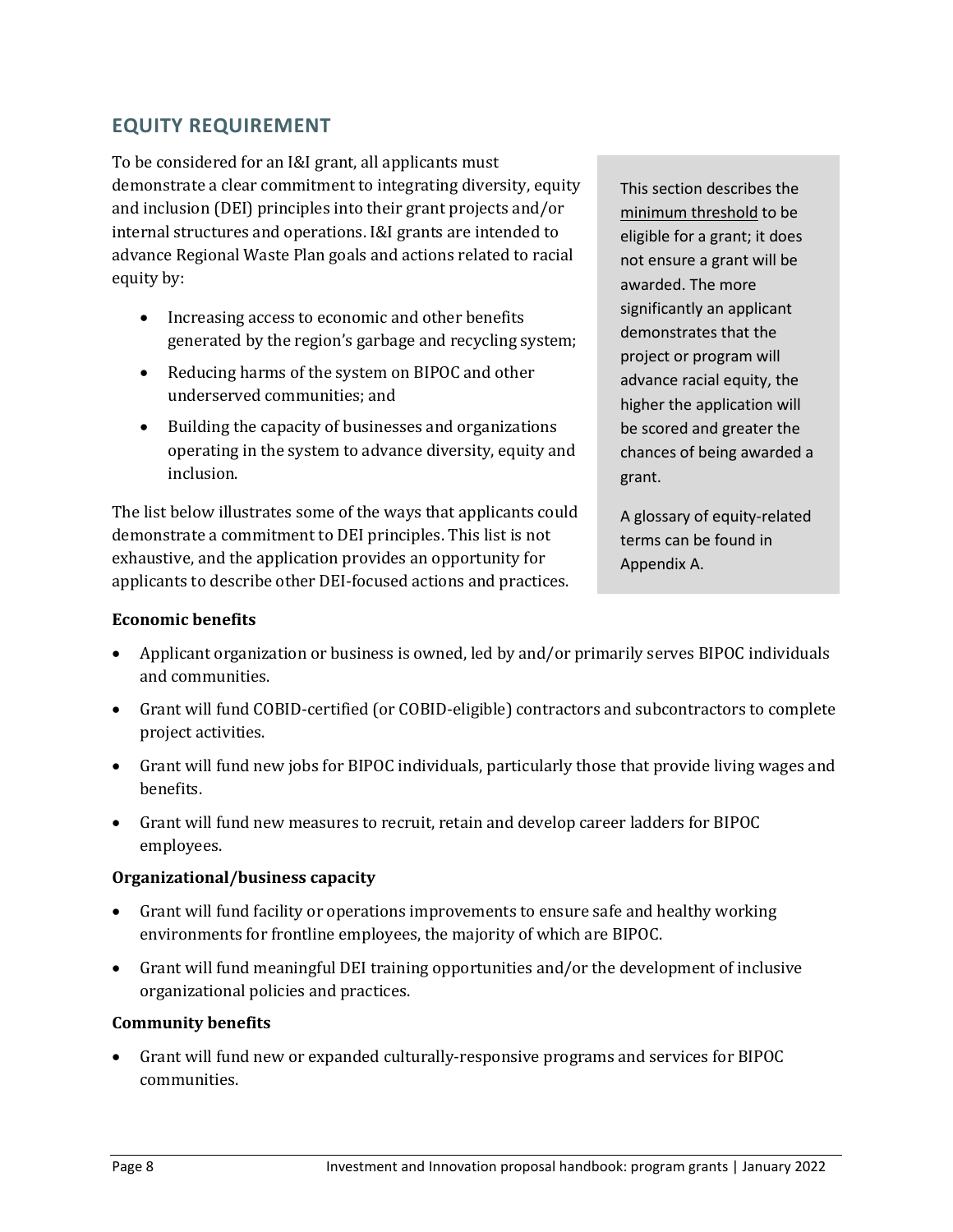# **EQUITY REQUIREMENT**

To be considered for an I&I grant, all applicants must demonstrate a clear commitment to integrating diversity, equity and inclusion (DEI) principles into their grant projects and/or internal structures and operations. I&I grants are intended to advance Regional Waste Plan goals and actions related to racial equity by:

- Increasing access to economic and other benefits generated by the region's garbage and recycling system;
- Reducing harms of the system on BIPOC and other underserved communities; and
- Building the capacity of businesses and organizations operating in the system to advance diversity, equity and inclusion.

The list below illustrates some of the ways that applicants could demonstrate a commitment to DEI principles. This list is not exhaustive, and the application provides an opportunity for applicants to describe other DEI-focused actions and practices.

This section describes the minimum threshold to be eligible for a grant; it does not ensure a grant will be awarded. The more significantly an applicant demonstrates that the project or program will advance racial equity, the higher the application will be scored and greater the chances of being awarded a grant.

A glossary of equity-related terms can be found in Appendix A.

## **Economic benefits**

- Applicant organization or business is owned, led by and/or primarily serves BIPOC individuals and communities.
- Grant will fund COBID-certified (or COBID-eligible) contractors and subcontractors to complete project activities.
- Grant will fund new jobs for BIPOC individuals, particularly those that provide living wages and benefits.
- Grant will fund new measures to recruit, retain and develop career ladders for BIPOC employees.

# **Organizational/business capacity**

- Grant will fund facility or operations improvements to ensure safe and healthy working environments for frontline employees, the majority of which are BIPOC.
- Grant will fund meaningful DEI training opportunities and/or the development of inclusive organizational policies and practices.

# **Community benefits**

• Grant will fund new or expanded culturally-responsive programs and services for BIPOC communities.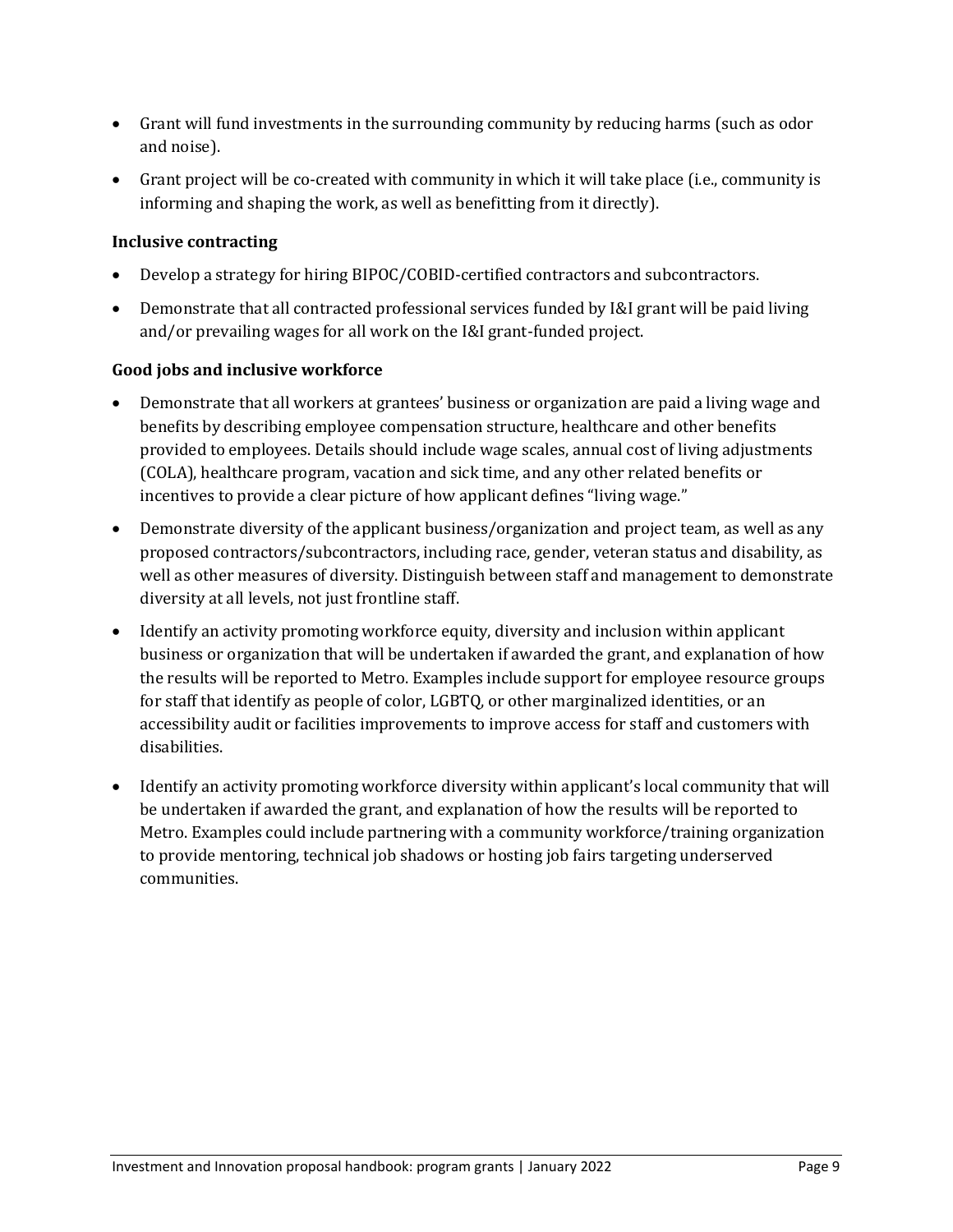- Grant will fund investments in the surrounding community by reducing harms (such as odor and noise).
- Grant project will be co-created with community in which it will take place (i.e., community is informing and shaping the work, as well as benefitting from it directly).

## **Inclusive contracting**

- Develop a strategy for hiring BIPOC/COBID-certified contractors and subcontractors.
- Demonstrate that all contracted professional services funded by I&I grant will be paid living and/or prevailing wages for all work on the I&I grant-funded project.

## **Good jobs and inclusive workforce**

- Demonstrate that all workers at grantees' business or organization are paid a living wage and benefits by describing employee compensation structure, healthcare and other benefits provided to employees. Details should include wage scales, annual cost of living adjustments (COLA), healthcare program, vacation and sick time, and any other related benefits or incentives to provide a clear picture of how applicant defines "living wage."
- Demonstrate diversity of the applicant business/organization and project team, as well as any proposed contractors/subcontractors, including race, gender, veteran status and disability, as well as other measures of diversity. Distinguish between staff and management to demonstrate diversity at all levels, not just frontline staff.
- Identify an activity promoting workforce equity, diversity and inclusion within applicant business or organization that will be undertaken if awarded the grant, and explanation of how the results will be reported to Metro. Examples include support for employee resource groups for staff that identify as people of color, LGBTQ, or other marginalized identities, or an accessibility audit or facilities improvements to improve access for staff and customers with disabilities.
- Identify an activity promoting workforce diversity within applicant's local community that will be undertaken if awarded the grant, and explanation of how the results will be reported to Metro. Examples could include partnering with a community workforce/training organization to provide mentoring, technical job shadows or hosting job fairs targeting underserved communities.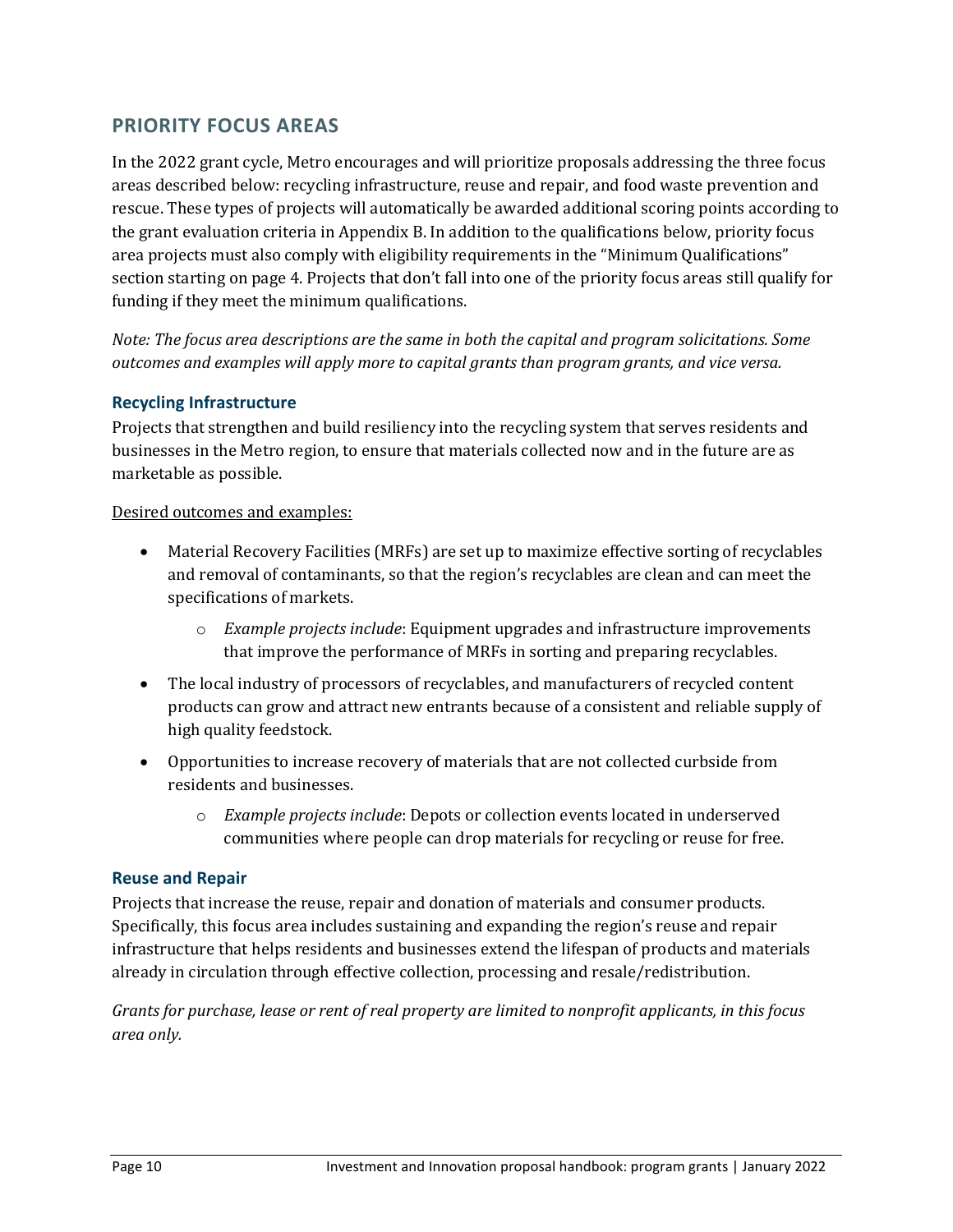# **PRIORITY FOCUS AREAS**

In the 2022 grant cycle, Metro encourages and will prioritize proposals addressing the three focus areas described below: recycling infrastructure, reuse and repair, and food waste prevention and rescue. These types of projects will automatically be awarded additional scoring points according to the grant evaluation criteria in Appendix B. In addition to the qualifications below, priority focus area projects must also comply with eligibility requirements in the "Minimum Qualifications" section starting on page 4. Projects that don't fall into one of the priority focus areas still qualify for funding if they meet the minimum qualifications.

*Note: The focus area descriptions are the same in both the capital and program solicitations. Some outcomes and examples will apply more to capital grants than program grants, and vice versa.*

## **Recycling Infrastructure**

Projects that strengthen and build resiliency into the recycling system that serves residents and businesses in the Metro region, to ensure that materials collected now and in the future are as marketable as possible.

#### Desired outcomes and examples:

- Material Recovery Facilities (MRFs) are set up to maximize effective sorting of recyclables and removal of contaminants, so that the region's recyclables are clean and can meet the specifications of markets.
	- o *Example projects include*: Equipment upgrades and infrastructure improvements that improve the performance of MRFs in sorting and preparing recyclables.
- The local industry of processors of recyclables, and manufacturers of recycled content products can grow and attract new entrants because of a consistent and reliable supply of high quality feedstock.
- Opportunities to increase recovery of materials that are not collected curbside from residents and businesses.
	- o *Example projects include*: Depots or collection events located in underserved communities where people can drop materials for recycling or reuse for free.

#### **Reuse and Repair**

Projects that increase the reuse, repair and donation of materials and consumer products. Specifically, this focus area includes sustaining and expanding the region's reuse and repair infrastructure that helps residents and businesses extend the lifespan of products and materials already in circulation through effective collection, processing and resale/redistribution.

*Grants for purchase, lease or rent of real property are limited to nonprofit applicants, in this focus area only.*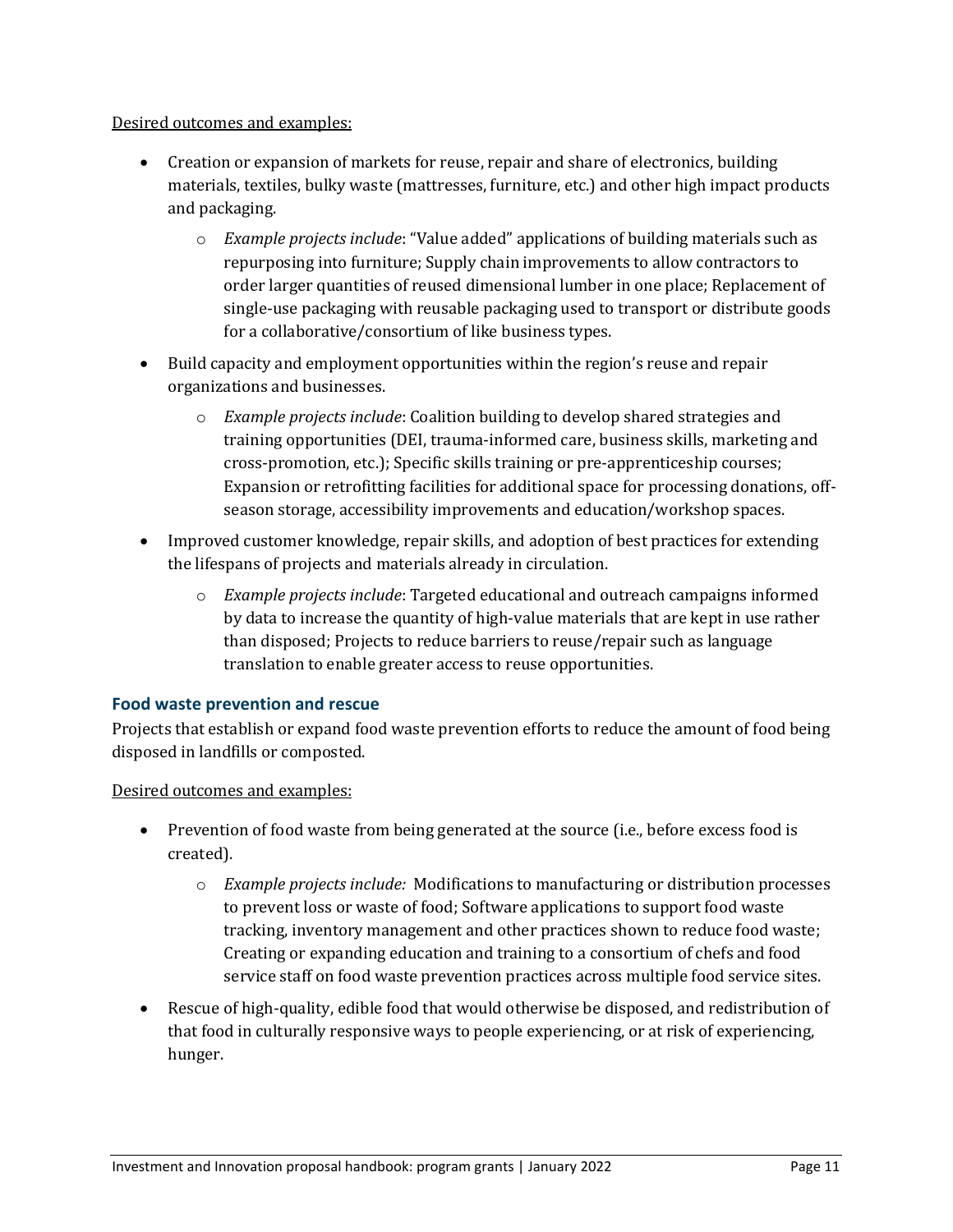#### Desired outcomes and examples:

- Creation or expansion of markets for reuse, repair and share of electronics, building materials, textiles, bulky waste (mattresses, furniture, etc.) and other high impact products and packaging.
	- o *Example projects include*: "Value added" applications of building materials such as repurposing into furniture; Supply chain improvements to allow contractors to order larger quantities of reused dimensional lumber in one place; Replacement of single-use packaging with reusable packaging used to transport or distribute goods for a collaborative/consortium of like business types.
- Build capacity and employment opportunities within the region's reuse and repair organizations and businesses.
	- o *Example projects include*: Coalition building to develop shared strategies and training opportunities (DEI, trauma-informed care, business skills, marketing and cross-promotion, etc.); Specific skills training or pre-apprenticeship courses; Expansion or retrofitting facilities for additional space for processing donations, offseason storage, accessibility improvements and education/workshop spaces.
- Improved customer knowledge, repair skills, and adoption of best practices for extending the lifespans of projects and materials already in circulation.
	- o *Example projects include*: Targeted educational and outreach campaigns informed by data to increase the quantity of high-value materials that are kept in use rather than disposed; Projects to reduce barriers to reuse/repair such as language translation to enable greater access to reuse opportunities.

#### **Food waste prevention and rescue**

Projects that establish or expand food waste prevention efforts to reduce the amount of food being disposed in landfills or composted.

Desired outcomes and examples:

- Prevention of food waste from being generated at the source (i.e., before excess food is created).
	- o *Example projects include:* Modifications to manufacturing or distribution processes to prevent loss or waste of food; Software applications to support food waste tracking, inventory management and other practices shown to reduce food waste; Creating or expanding education and training to a consortium of chefs and food service staff on food waste prevention practices across multiple food service sites.
- Rescue of high-quality, edible food that would otherwise be disposed, and redistribution of that food in culturally responsive ways to people experiencing, or at risk of experiencing, hunger.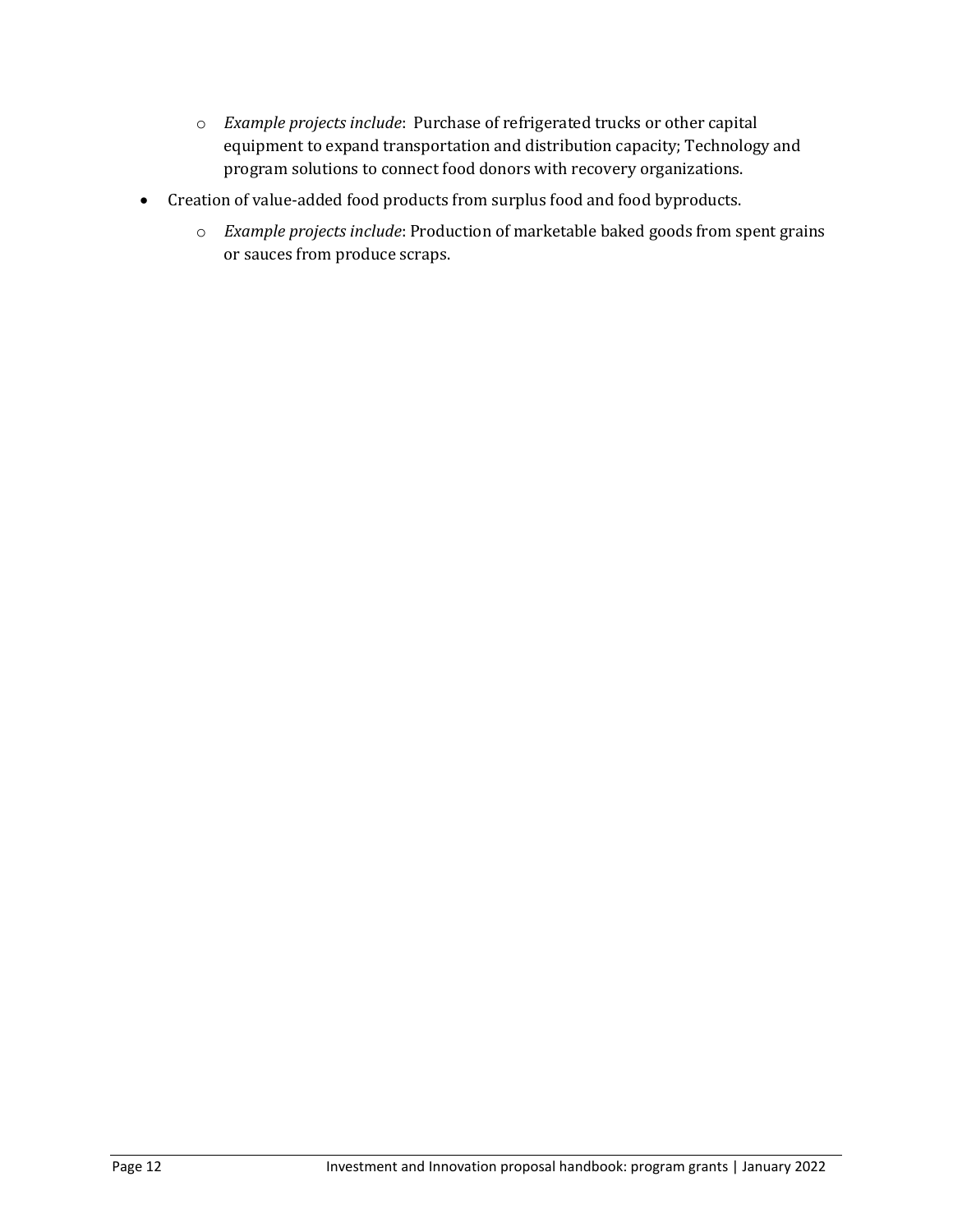- o *Example projects include*: Purchase of refrigerated trucks or other capital equipment to expand transportation and distribution capacity; Technology and program solutions to connect food donors with recovery organizations.
- Creation of value-added food products from surplus food and food byproducts.
	- o *Example projects include*: Production of marketable baked goods from spent grains or sauces from produce scraps.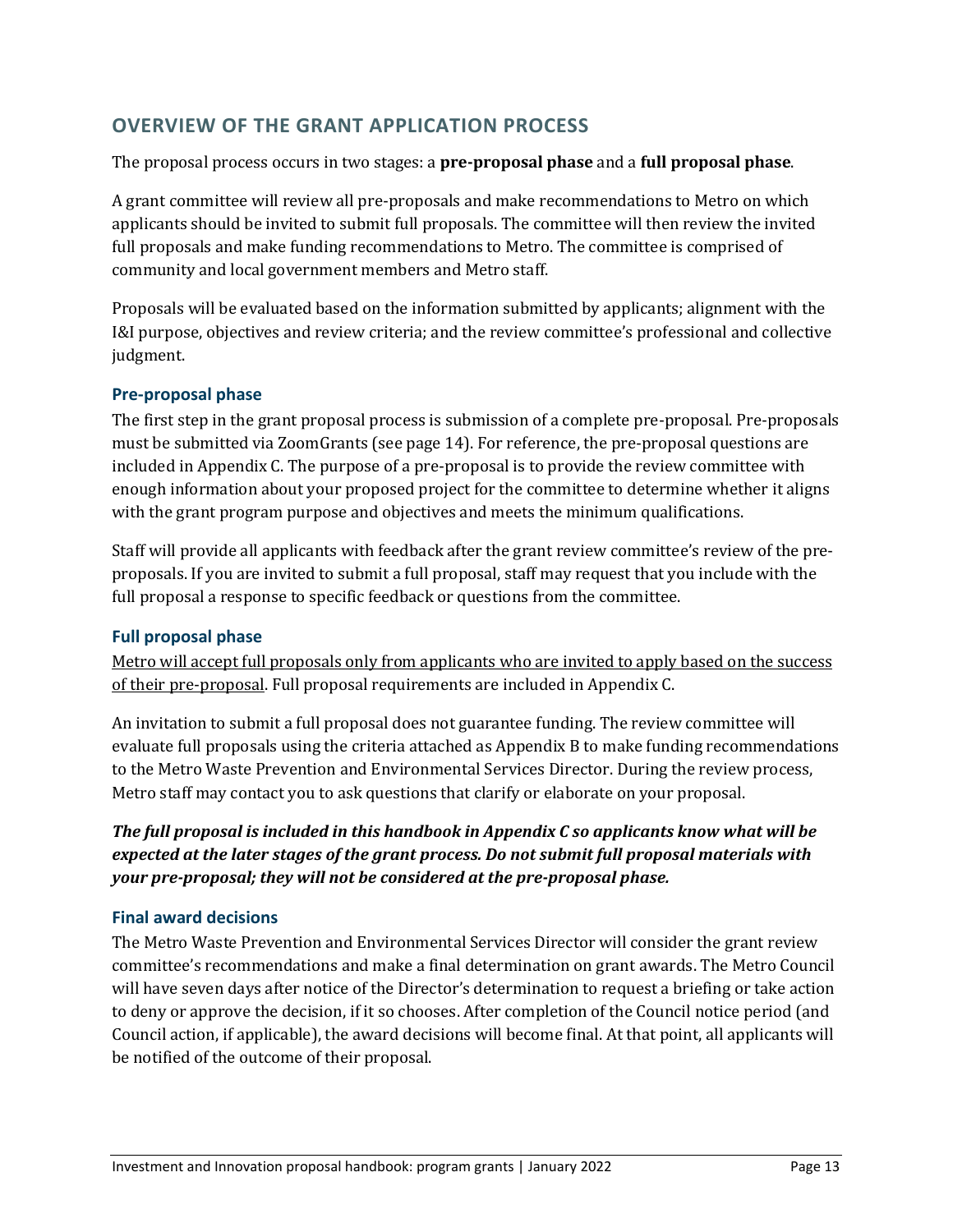# **OVERVIEW OF THE GRANT APPLICATION PROCESS**

### The proposal process occurs in two stages: a **pre-proposal phase** and a **full proposal phase**.

A grant committee will review all pre-proposals and make recommendations to Metro on which applicants should be invited to submit full proposals. The committee will then review the invited full proposals and make funding recommendations to Metro. The committee is comprised of community and local government members and Metro staff.

Proposals will be evaluated based on the information submitted by applicants; alignment with the I&I purpose, objectives and review criteria; and the review committee's professional and collective judgment.

## **Pre-proposal phase**

The first step in the grant proposal process is submission of a complete pre-proposal. Pre-proposals must be submitted via ZoomGrants (see page 14). For reference, the pre-proposal questions are included in Appendix C. The purpose of a pre-proposal is to provide the review committee with enough information about your proposed project for the committee to determine whether it aligns with the grant program purpose and objectives and meets the minimum qualifications.

Staff will provide all applicants with feedback after the grant review committee's review of the preproposals. If you are invited to submit a full proposal, staff may request that you include with the full proposal a response to specific feedback or questions from the committee.

# **Full proposal phase**

Metro will accept full proposals only from applicants who are invited to apply based on the success of their pre-proposal. Full proposal requirements are included in Appendix C.

An invitation to submit a full proposal does not guarantee funding. The review committee will evaluate full proposals using the criteria attached as Appendix B to make funding recommendations to the Metro Waste Prevention and Environmental Services Director. During the review process, Metro staff may contact you to ask questions that clarify or elaborate on your proposal.

*The full proposal is included in this handbook in Appendix C so applicants know what will be expected at the later stages of the grant process. Do not submit full proposal materials with your pre-proposal; they will not be considered at the pre-proposal phase.*

# **Final award decisions**

The Metro Waste Prevention and Environmental Services Director will consider the grant review committee's recommendations and make a final determination on grant awards. The Metro Council will have seven days after notice of the Director's determination to request a briefing or take action to deny or approve the decision, if it so chooses. After completion of the Council notice period (and Council action, if applicable), the award decisions will become final. At that point, all applicants will be notified of the outcome of their proposal.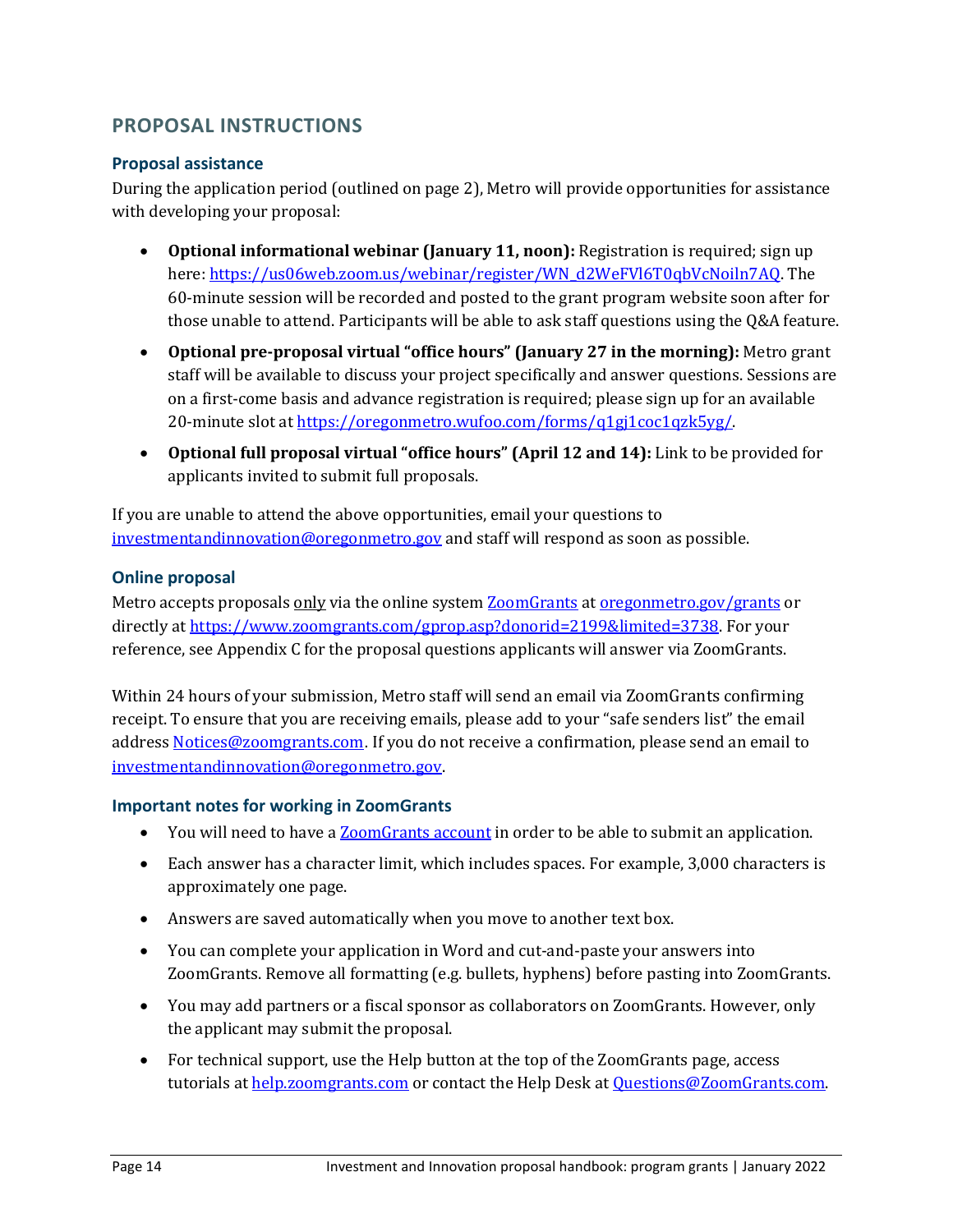# **PROPOSAL INSTRUCTIONS**

## **Proposal assistance**

During the application period (outlined on page 2), Metro will provide opportunities for assistance with developing your proposal:

- **Optional informational webinar (January 11, noon):** Registration is required; sign up here[: https://us06web.zoom.us/webinar/register/WN\\_d2WeFVl6T0qbVcNoiln7AQ.](https://us06web.zoom.us/webinar/register/WN_d2WeFVl6T0qbVcNoiln7AQ) The 60-minute session will be recorded and posted to the grant program website soon after for those unable to attend. Participants will be able to ask staff questions using the Q&A feature.
- **Optional pre-proposal virtual "office hours" (January 27 in the morning):** Metro grant staff will be available to discuss your project specifically and answer questions. Sessions are on a first-come basis and advance registration is required; please sign up for an available 20-minute slot at https://oregonmetro.wufoo.com/forms/q1gj1coc1qzk5yg/.
- **Optional full proposal virtual "office hours" (April 12 and 14):** Link to be provided for applicants invited to submit full proposals.

If you are unable to attend the above opportunities, email your questions to [investmentandinnovation@oregonmetro.gov](mailto:investmentandinnovation@oregonmetro.gov) and staff will respond as soon as possible.

# **Online proposal**

Metro accepts proposals only via the online system [ZoomGrants](https://zoomgrants.com/gprop.asp?donorid=2199) at [oregonmetro.gov/grants](http://www.oregonmetro.gov/grants) or directly at [https://www.zoomgrants.com/gprop.asp?donorid=2199&limited=3738.](https://www.zoomgrants.com/gprop.asp?donorid=2199&limited=3738) For your reference, see Appendix C for the proposal questions applicants will answer via ZoomGrants.

Within 24 hours of your submission, Metro staff will send an email via ZoomGrants confirming receipt. To ensure that you are receiving emails, please add to your "safe senders list" the email addres[s Notices@zoomgrants.com](mailto:Notices@zoomgrants.com). If you do not receive a confirmation, please send an email to [investmentandinnovation@oregonmetro.gov.](mailto:investmentandinnovation@oregonmetro.gov)

#### **Important notes for working in ZoomGrants**

- You will need to have [a ZoomGrants account](http://help.zoomgrants.com/index.php/zgu/setting-up-your-account-and-creating-applications/) in order to be able to submit an application.
- Each answer has a character limit, which includes spaces. For example, 3,000 characters is approximately one page.
- Answers are saved automatically when you move to another text box.
- You can complete your application in Word and cut-and-paste your answers into ZoomGrants. Remove all formatting (e.g. bullets, hyphens) before pasting into ZoomGrants.
- You may add partners or a fiscal sponsor as collaborators on ZoomGrants. However, only the applicant may submit the proposal.
- For technical support, use the Help button at the top of the ZoomGrants page, access tutorials at [help.zoomgrants.com](http://help.zoomgrants.com/index.php/article-categories/applicantkbs/) or contact the Help Desk at [Questions@ZoomGrants.com.](mailto:Questions@ZoomGrants.com)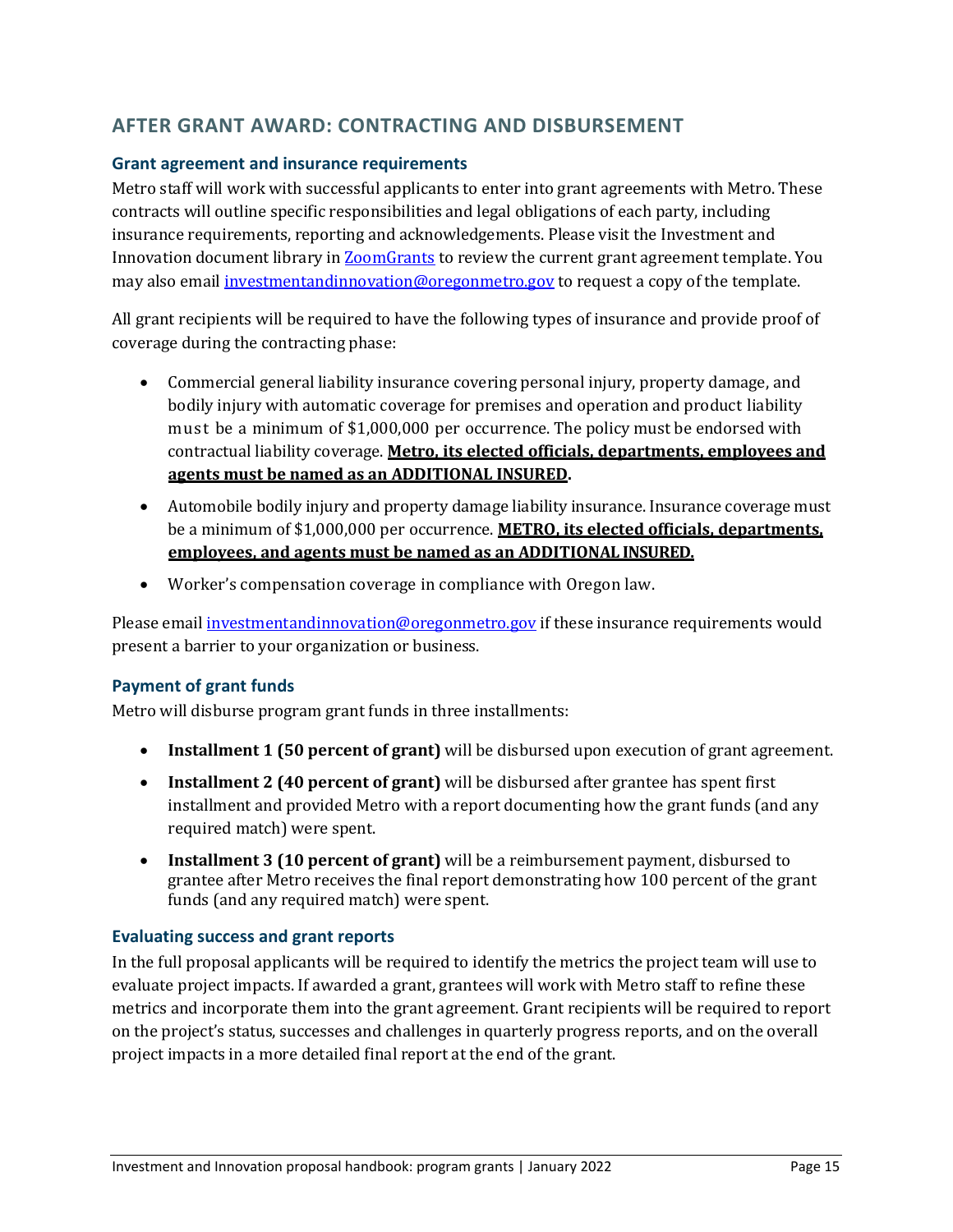# **AFTER GRANT AWARD: CONTRACTING AND DISBURSEMENT**

### **Grant agreement and insurance requirements**

Metro staff will work with successful applicants to enter into grant agreements with Metro. These contracts will outline specific responsibilities and legal obligations of each party, including insurance requirements, reporting and acknowledgements. Please visit the Investment and Innovation document library i[n ZoomGrants](https://www.zoomgrants.com/gprop.asp?donorid=2199&limited=3738) to review the current grant agreement template. You may also email [investmentandinnovation@oregonmetro.gov](mailto:investmentandinnovation@oregonmetro.gov) to request a copy of the template.

All grant recipients will be required to have the following types of insurance and provide proof of coverage during the contracting phase:

- Commercial general liability insurance covering personal injury, property damage, and bodily injury with automatic coverage for premises and operation and product liability must be a minimum of \$1,000,000 per occurrence. The policy must be endorsed with contractual liability coverage. **Metro, its elected officials, departments, employees and agents must be named as an ADDITIONAL INSURED.**
- Automobile bodily injury and property damage liability insurance. Insurance coverage must be a minimum of \$1,000,000 per occurrence. **METRO, its elected officials, departments, employees, and agents must be named as an ADDITIONAL INSURED.**
- Worker's compensation coverage in compliance with Oregon law.

Please email [investmentandinnovation@oregonmetro.gov](mailto:investmentandinnovation@oregonmetro.gov) if these insurance requirements would present a barrier to your organization or business.

#### **Payment of grant funds**

Metro will disburse program grant funds in three installments:

- **Installment 1 (50 percent of grant)** will be disbursed upon execution of grant agreement.
- **Installment 2 (40 percent of grant)** will be disbursed after grantee has spent first installment and provided Metro with a report documenting how the grant funds (and any required match) were spent.
- **Installment 3 (10 percent of grant)** will be a reimbursement payment, disbursed to grantee after Metro receives the final report demonstrating how 100 percent of the grant funds (and any required match) were spent.

#### **Evaluating success and grant reports**

In the full proposal applicants will be required to identify the metrics the project team will use to evaluate project impacts. If awarded a grant, grantees will work with Metro staff to refine these metrics and incorporate them into the grant agreement. Grant recipients will be required to report on the project's status, successes and challenges in quarterly progress reports, and on the overall project impacts in a more detailed final report at the end of the grant.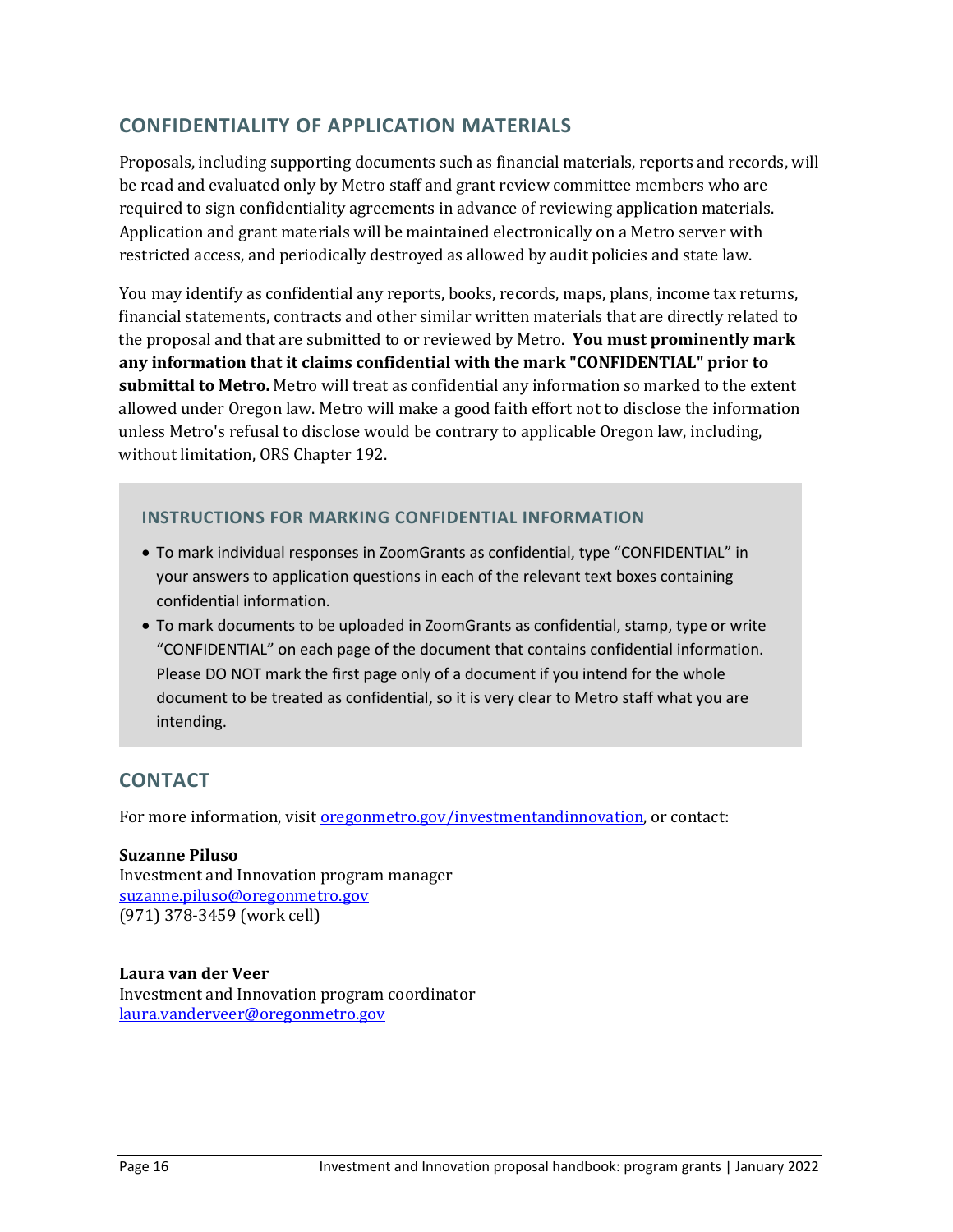# **CONFIDENTIALITY OF APPLICATION MATERIALS**

Proposals, including supporting documents such as financial materials, reports and records, will be read and evaluated only by Metro staff and grant review committee members who are required to sign confidentiality agreements in advance of reviewing application materials. Application and grant materials will be maintained electronically on a Metro server with restricted access, and periodically destroyed as allowed by audit policies and state law.

You may identify as confidential any reports, books, records, maps, plans, income tax returns, financial statements, contracts and other similar written materials that are directly related to the proposal and that are submitted to or reviewed by Metro. **You must prominently mark any information that it claims confidential with the mark "CONFIDENTIAL" prior to submittal to Metro.** Metro will treat as confidential any information so marked to the extent allowed under Oregon law. Metro will make a good faith effort not to disclose the information unless Metro's refusal to disclose would be contrary to applicable Oregon law, including, without limitation, ORS Chapter 192.

## **INSTRUCTIONS FOR MARKING CONFIDENTIAL INFORMATION**

- To mark individual responses in ZoomGrants as confidential, type "CONFIDENTIAL" in your answers to application questions in each of the relevant text boxes containing confidential information.
- To mark documents to be uploaded in ZoomGrants as confidential, stamp, type or write "CONFIDENTIAL" on each page of the document that contains confidential information. Please DO NOT mark the first page only of a document if you intend for the whole document to be treated as confidential, so it is very clear to Metro staff what you are intending.

# **CONTACT**

For more information, visit <u>oregonmetro.gov/investmentandinnovation</u>, or contact:

#### **Suzanne Piluso** Investment and Innovation program manager [suzanne.piluso@oregonmetro.gov](mailto:suzanne.piluso@oregonmetro.gov) (971) 378-3459 (work cell)

**Laura van der Veer** Investment and Innovation program coordinator [laura.vanderveer@oregonmetro.gov](mailto:laura.vanderveer@oregonmetro.gov)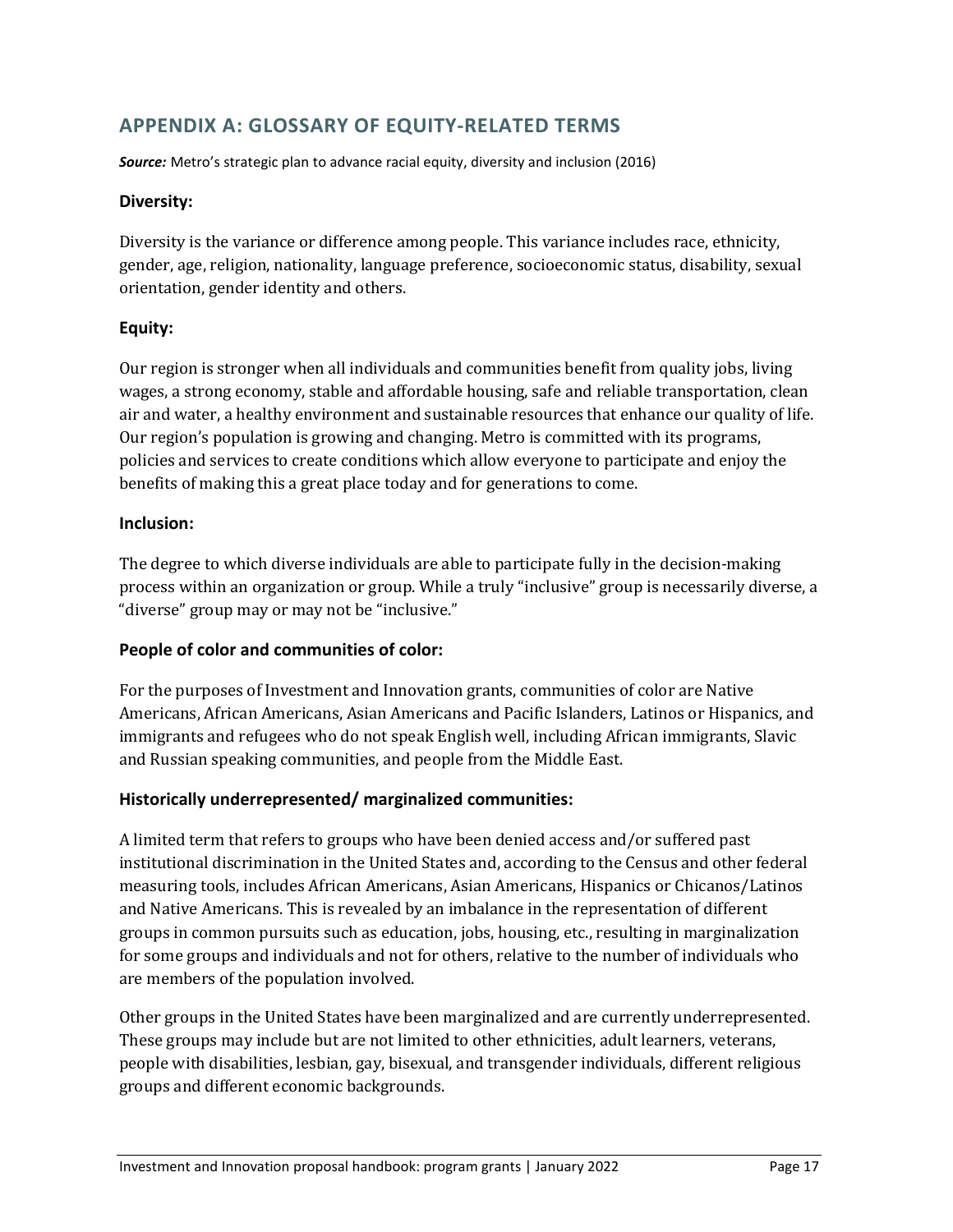# **APPENDIX A: GLOSSARY OF EQUITY-RELATED TERMS**

*Source:* Metro's strategic plan to advance racial equity, diversity and inclusion (2016)

#### **Diversity:**

Diversity is the variance or difference among people. This variance includes race, ethnicity, gender, age, religion, nationality, language preference, socioeconomic status, disability, sexual orientation, gender identity and others.

#### **Equity:**

Our region is stronger when all individuals and communities benefit from quality jobs, living wages, a strong economy, stable and affordable housing, safe and reliable transportation, clean air and water, a healthy environment and sustainable resources that enhance our quality of life. Our region's population is growing and changing. Metro is committed with its programs, policies and services to create conditions which allow everyone to participate and enjoy the benefits of making this a great place today and for generations to come.

#### **Inclusion:**

The degree to which diverse individuals are able to participate fully in the decision-making process within an organization or group. While a truly "inclusive" group is necessarily diverse, a "diverse" group may or may not be "inclusive."

#### **People of color and communities of color:**

For the purposes of Investment and Innovation grants, communities of color are Native Americans, African Americans, Asian Americans and Pacific Islanders, Latinos or Hispanics, and immigrants and refugees who do not speak English well, including African immigrants, Slavic and Russian speaking communities, and people from the Middle East.

#### **Historically underrepresented/ marginalized communities:**

A limited term that refers to groups who have been denied access and/or suffered past institutional discrimination in the United States and, according to the Census and other federal measuring tools, includes African Americans, Asian Americans, Hispanics or Chicanos/Latinos and Native Americans. This is revealed by an imbalance in the representation of different groups in common pursuits such as education, jobs, housing, etc., resulting in marginalization for some groups and individuals and not for others, relative to the number of individuals who are members of the population involved.

Other groups in the United States have been marginalized and are currently underrepresented. These groups may include but are not limited to other ethnicities, adult learners, veterans, people with disabilities, lesbian, gay, bisexual, and transgender individuals, different religious groups and different economic backgrounds.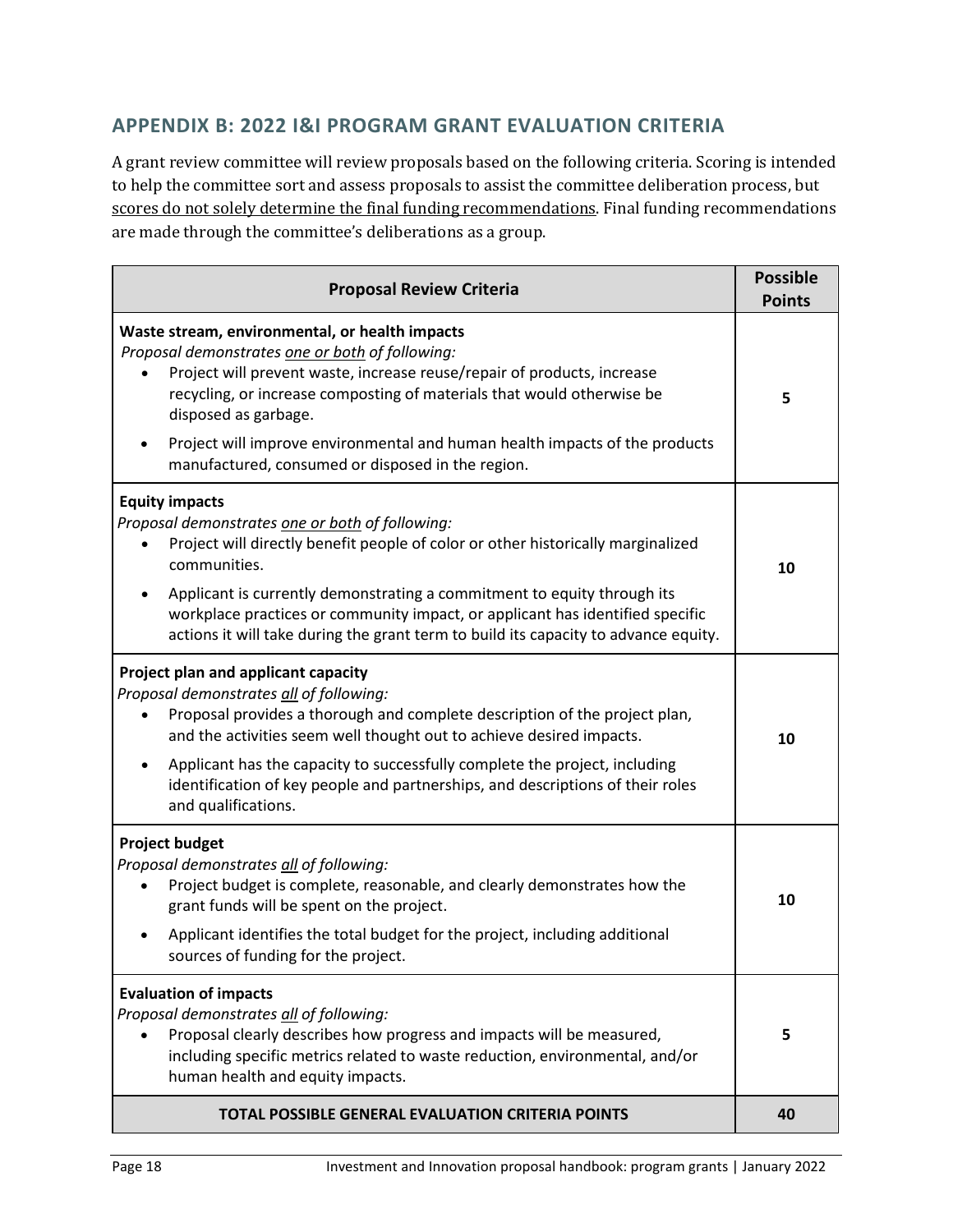# **APPENDIX B: 2022 I&I PROGRAM GRANT EVALUATION CRITERIA**

A grant review committee will review proposals based on the following criteria. Scoring is intended to help the committee sort and assess proposals to assist the committee deliberation process, but scores do not solely determine the final funding recommendations. Final funding recommendations are made through the committee's deliberations as a group.

| <b>Proposal Review Criteria</b>                                                                                                                                                                                                                                                                                                                                                                                                  | <b>Possible</b><br><b>Points</b> |
|----------------------------------------------------------------------------------------------------------------------------------------------------------------------------------------------------------------------------------------------------------------------------------------------------------------------------------------------------------------------------------------------------------------------------------|----------------------------------|
| Waste stream, environmental, or health impacts<br>Proposal demonstrates one or both of following:<br>Project will prevent waste, increase reuse/repair of products, increase<br>recycling, or increase composting of materials that would otherwise be<br>disposed as garbage.<br>Project will improve environmental and human health impacts of the products                                                                    | 5                                |
| manufactured, consumed or disposed in the region.                                                                                                                                                                                                                                                                                                                                                                                |                                  |
| <b>Equity impacts</b><br>Proposal demonstrates one or both of following:<br>Project will directly benefit people of color or other historically marginalized<br>communities.<br>Applicant is currently demonstrating a commitment to equity through its<br>workplace practices or community impact, or applicant has identified specific<br>actions it will take during the grant term to build its capacity to advance equity.  | 10                               |
| Project plan and applicant capacity<br>Proposal demonstrates all of following:<br>Proposal provides a thorough and complete description of the project plan,<br>and the activities seem well thought out to achieve desired impacts.<br>Applicant has the capacity to successfully complete the project, including<br>٠<br>identification of key people and partnerships, and descriptions of their roles<br>and qualifications. | 10                               |
| <b>Project budget</b><br>Proposal demonstrates all of following:<br>Project budget is complete, reasonable, and clearly demonstrates how the<br>grant funds will be spent on the project.<br>Applicant identifies the total budget for the project, including additional<br>sources of funding for the project.                                                                                                                  | 10                               |
| <b>Evaluation of impacts</b><br>Proposal demonstrates all of following:<br>Proposal clearly describes how progress and impacts will be measured,<br>including specific metrics related to waste reduction, environmental, and/or<br>human health and equity impacts.                                                                                                                                                             | 5                                |
| <b>TOTAL POSSIBLE GENERAL EVALUATION CRITERIA POINTS</b>                                                                                                                                                                                                                                                                                                                                                                         | 40                               |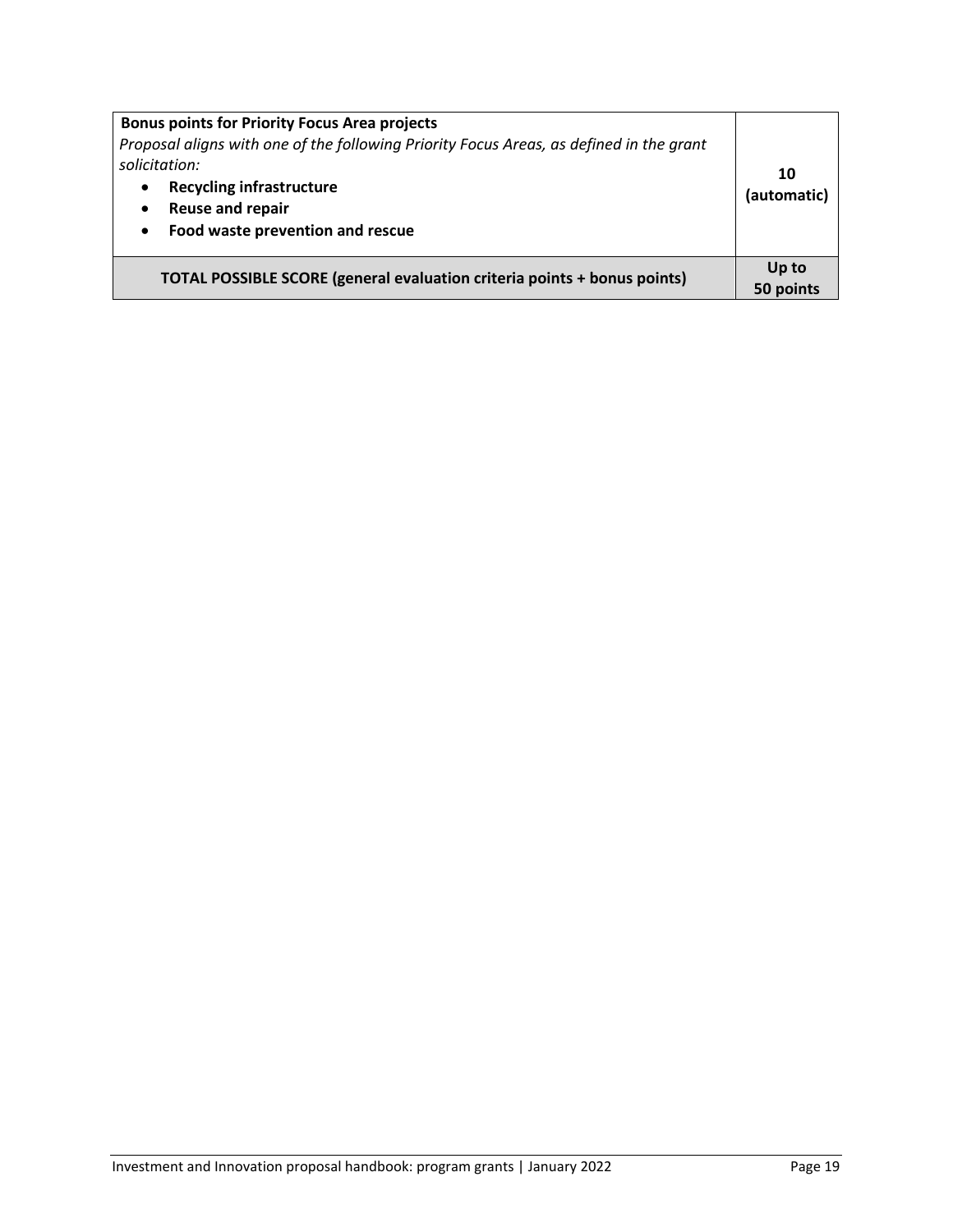| <b>Bonus points for Priority Focus Area projects</b><br>Proposal aligns with one of the following Priority Focus Areas, as defined in the grant<br>solicitation:<br><b>Recycling infrastructure</b><br>$\bullet$<br><b>Reuse and repair</b><br>$\bullet$<br>Food waste prevention and rescue<br>$\bullet$ | 10<br>(automatic)  |
|-----------------------------------------------------------------------------------------------------------------------------------------------------------------------------------------------------------------------------------------------------------------------------------------------------------|--------------------|
| <b>TOTAL POSSIBLE SCORE (general evaluation criteria points + bonus points)</b>                                                                                                                                                                                                                           | Up to<br>50 points |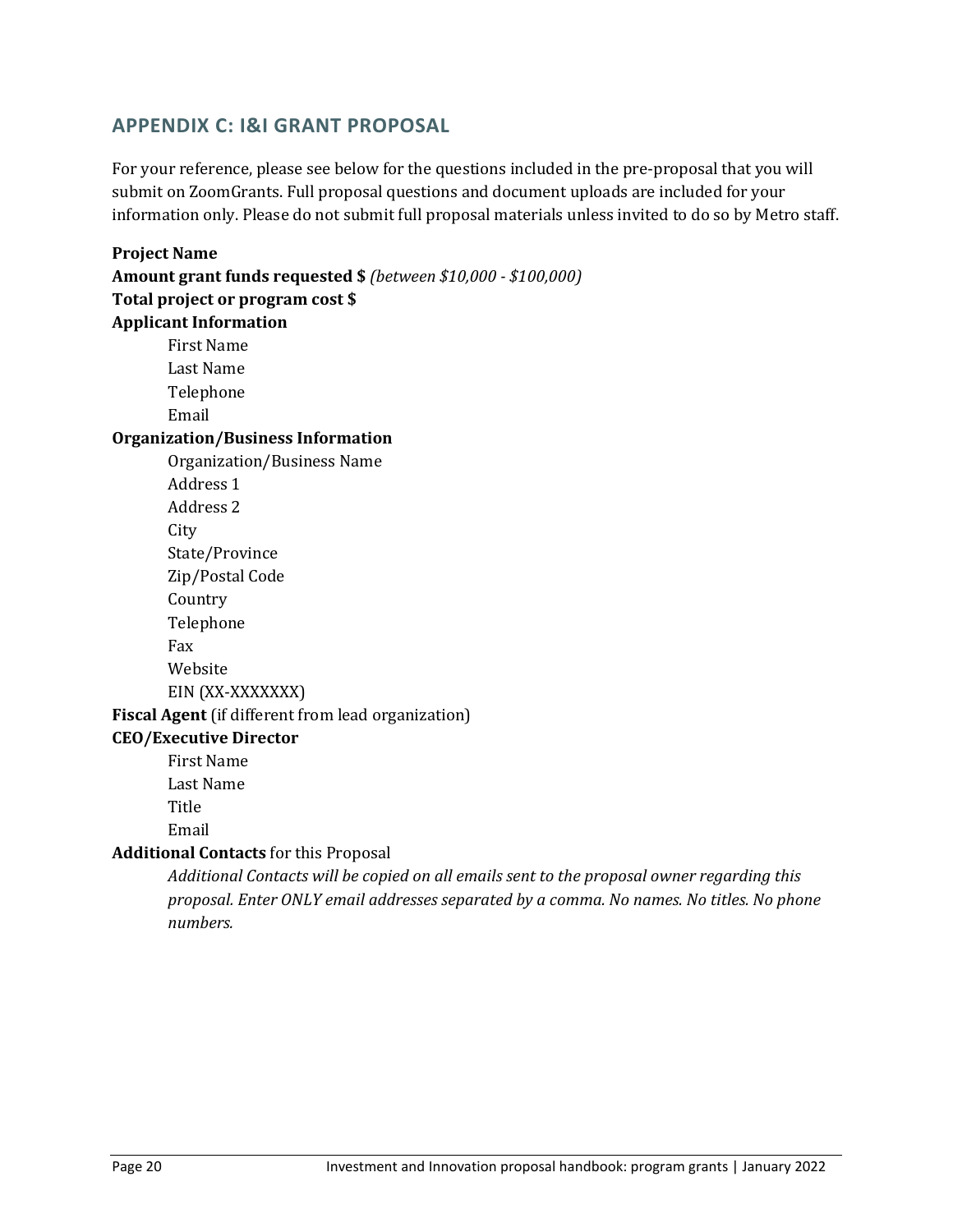# **APPENDIX C: I&I GRANT PROPOSAL**

For your reference, please see below for the questions included in the pre-proposal that you will submit on ZoomGrants. Full proposal questions and document uploads are included for your information only. Please do not submit full proposal materials unless invited to do so by Metro staff.

# **Project Name Amount grant funds requested \$** *(between \$10,000 - \$100,000)* **Total project or program cost \$ Applicant Information** First Name Last Name Telephone Email **Organization/Business Information**  Organization/Business Name Address 1 Address 2 City State/Province Zip/Postal Code Country Telephone Fax Website EIN (XX-XXXXXXX) **Fiscal Agent** (if different from lead organization) **CEO/Executive Director** First Name Last Name Title Email **Additional Contacts** for this Proposal *Additional Contacts will be copied on all emails sent to the proposal owner regarding this*

*proposal. Enter ONLY email addresses separated by a comma. No names. No titles. No phone numbers.*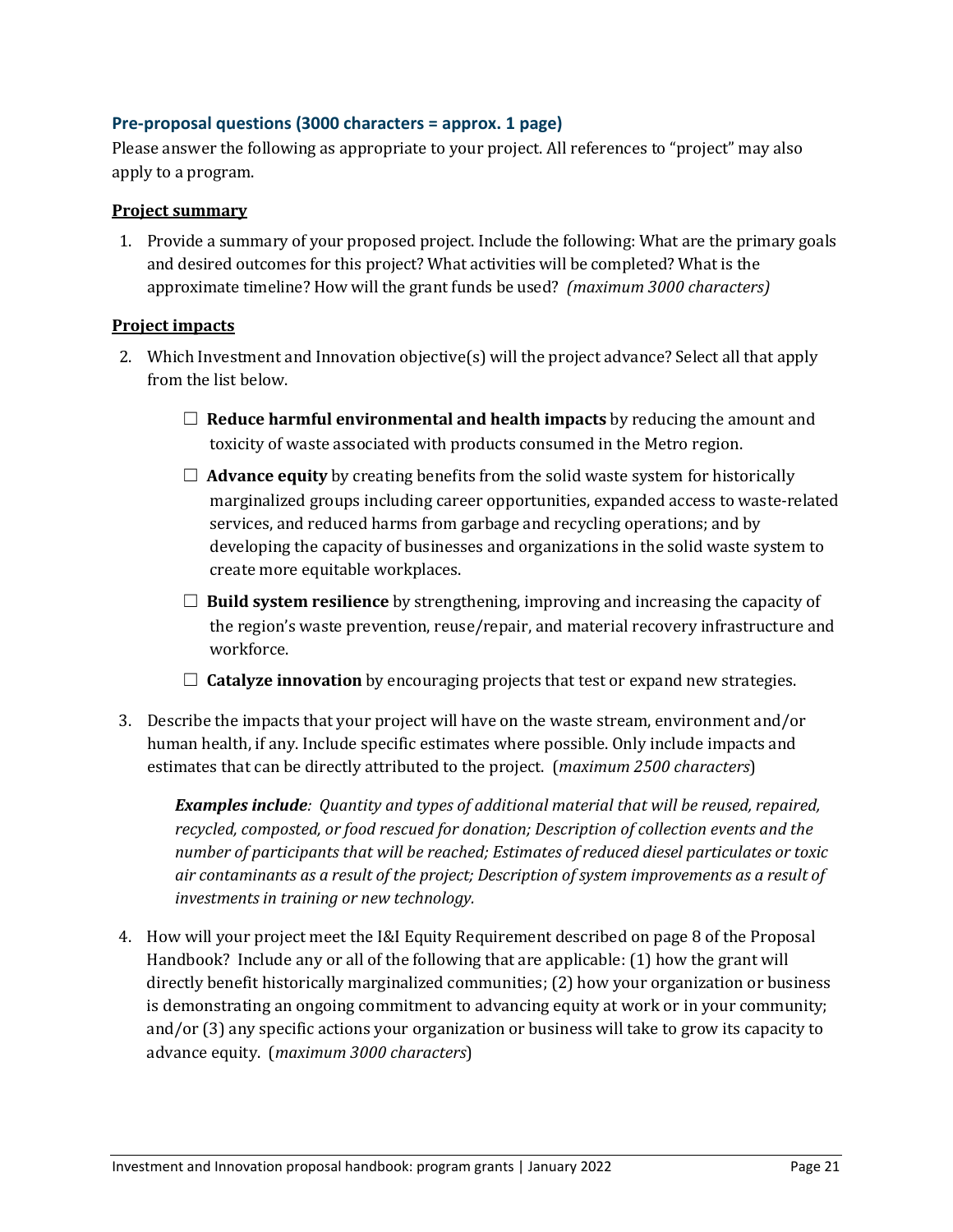#### **Pre-proposal questions (3000 characters = approx. 1 page)**

Please answer the following as appropriate to your project. All references to "project" may also apply to a program.

#### **Project summary**

1. Provide a summary of your proposed project. Include the following: What are the primary goals and desired outcomes for this project? What activities will be completed? What is the approximate timeline? How will the grant funds be used? *(maximum 3000 characters)*

#### **Project impacts**

- 2. Which Investment and Innovation objective(s) will the project advance? Select all that apply from the list below.
	- ☐ **Reduce harmful environmental and health impacts** by reducing the amount and toxicity of waste associated with products consumed in the Metro region.
	- $\Box$  **Advance equity** by creating benefits from the solid waste system for historically marginalized groups including career opportunities, expanded access to waste-related services, and reduced harms from garbage and recycling operations; and by developing the capacity of businesses and organizations in the solid waste system to create more equitable workplaces.
	- $\Box$  **Build system resilience** by strengthening, improving and increasing the capacity of the region's waste prevention, reuse/repair, and material recovery infrastructure and workforce.
	- ☐ **Catalyze innovation** by encouraging projects that test or expand new strategies.
- 3. Describe the impacts that your project will have on the waste stream, environment and/or human health, if any. Include specific estimates where possible. Only include impacts and estimates that can be directly attributed to the project. (*maximum 2500 characters*)

*Examples include: Quantity and types of additional material that will be reused, repaired, recycled, composted, or food rescued for donation; Description of collection events and the number of participants that will be reached; Estimates of reduced diesel particulates or toxic air contaminants as a result of the project; Description of system improvements as a result of investments in training or new technology.*

4. How will your project meet the I&I Equity Requirement described on page 8 of the Proposal Handbook? Include any or all of the following that are applicable: (1) how the grant will directly benefit historically marginalized communities; (2) how your organization or business is demonstrating an ongoing commitment to advancing equity at work or in your community; and/or (3) any specific actions your organization or business will take to grow its capacity to advance equity. (*maximum 3000 characters*)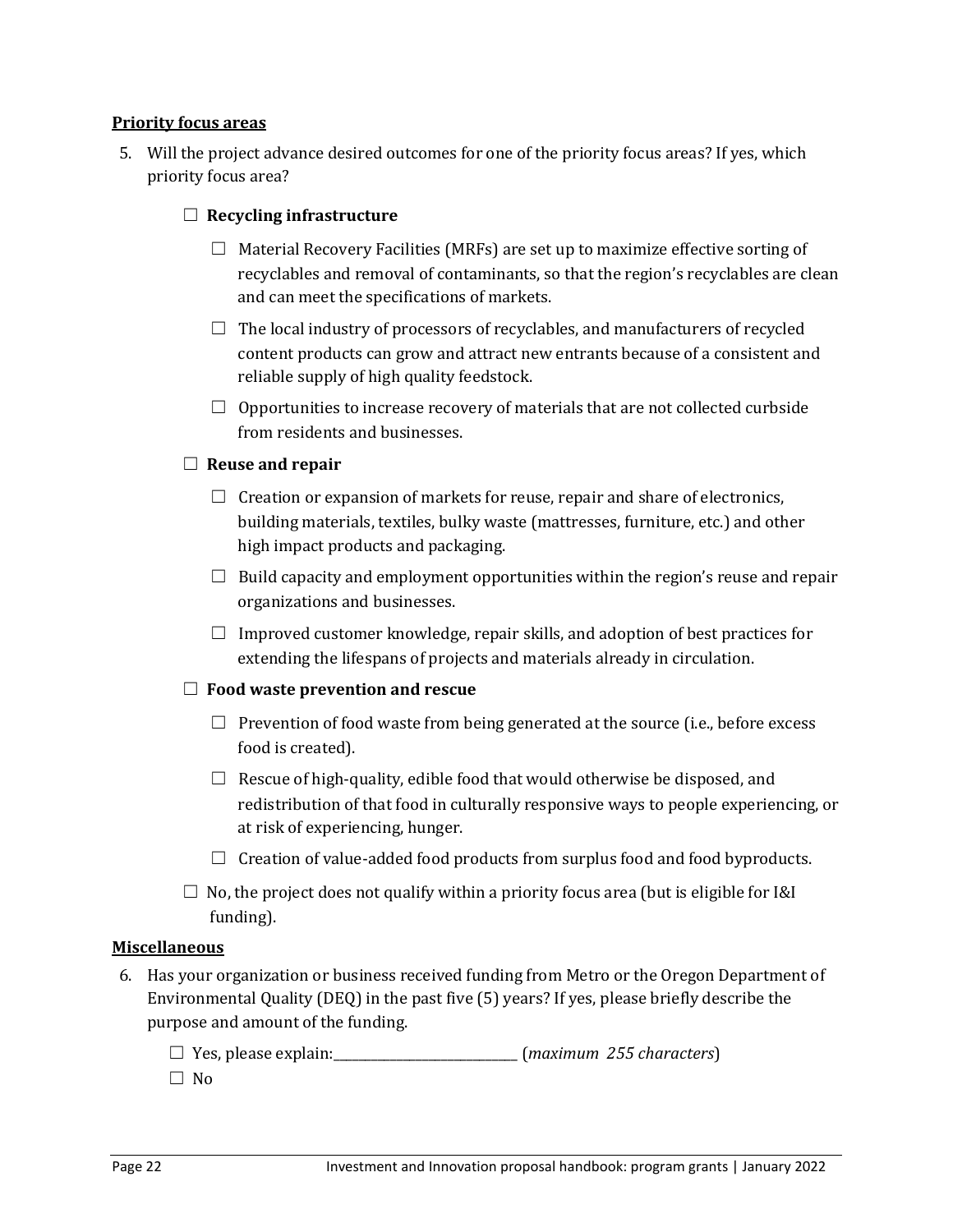#### **Priority focus areas**

5. Will the project advance desired outcomes for one of the priority focus areas? If yes, which priority focus area?

#### ☐ **Recycling infrastructure**

- $\Box$  Material Recovery Facilities (MRFs) are set up to maximize effective sorting of recyclables and removal of contaminants, so that the region's recyclables are clean and can meet the specifications of markets.
- $\Box$  The local industry of processors of recyclables, and manufacturers of recycled content products can grow and attract new entrants because of a consistent and reliable supply of high quality feedstock.
- $\Box$  Opportunities to increase recovery of materials that are not collected curbside from residents and businesses.

#### ☐ **Reuse and repair**

- $\Box$  Creation or expansion of markets for reuse, repair and share of electronics, building materials, textiles, bulky waste (mattresses, furniture, etc.) and other high impact products and packaging.
- $\Box$  Build capacity and employment opportunities within the region's reuse and repair organizations and businesses.
- $\Box$  Improved customer knowledge, repair skills, and adoption of best practices for extending the lifespans of projects and materials already in circulation.

#### ☐ **Food waste prevention and rescue**

- $\Box$  Prevention of food waste from being generated at the source (i.e., before excess food is created).
- $\Box$  Rescue of high-quality, edible food that would otherwise be disposed, and redistribution of that food in culturally responsive ways to people experiencing, or at risk of experiencing, hunger.
- $\Box$  Creation of value-added food products from surplus food and food byproducts.
- $\Box$  No, the project does not qualify within a priority focus area (but is eligible for I&I funding).

#### **Miscellaneous**

- 6. Has your organization or business received funding from Metro or the Oregon Department of Environmental Quality (DEQ) in the past five (5) years? If yes, please briefly describe the purpose and amount of the funding.
	- ☐ Yes, please explain:\_\_\_\_\_\_\_\_\_\_\_\_\_\_\_\_\_\_\_\_\_\_\_\_\_\_\_\_\_ (*maximum 255 characters*)
	- ☐ No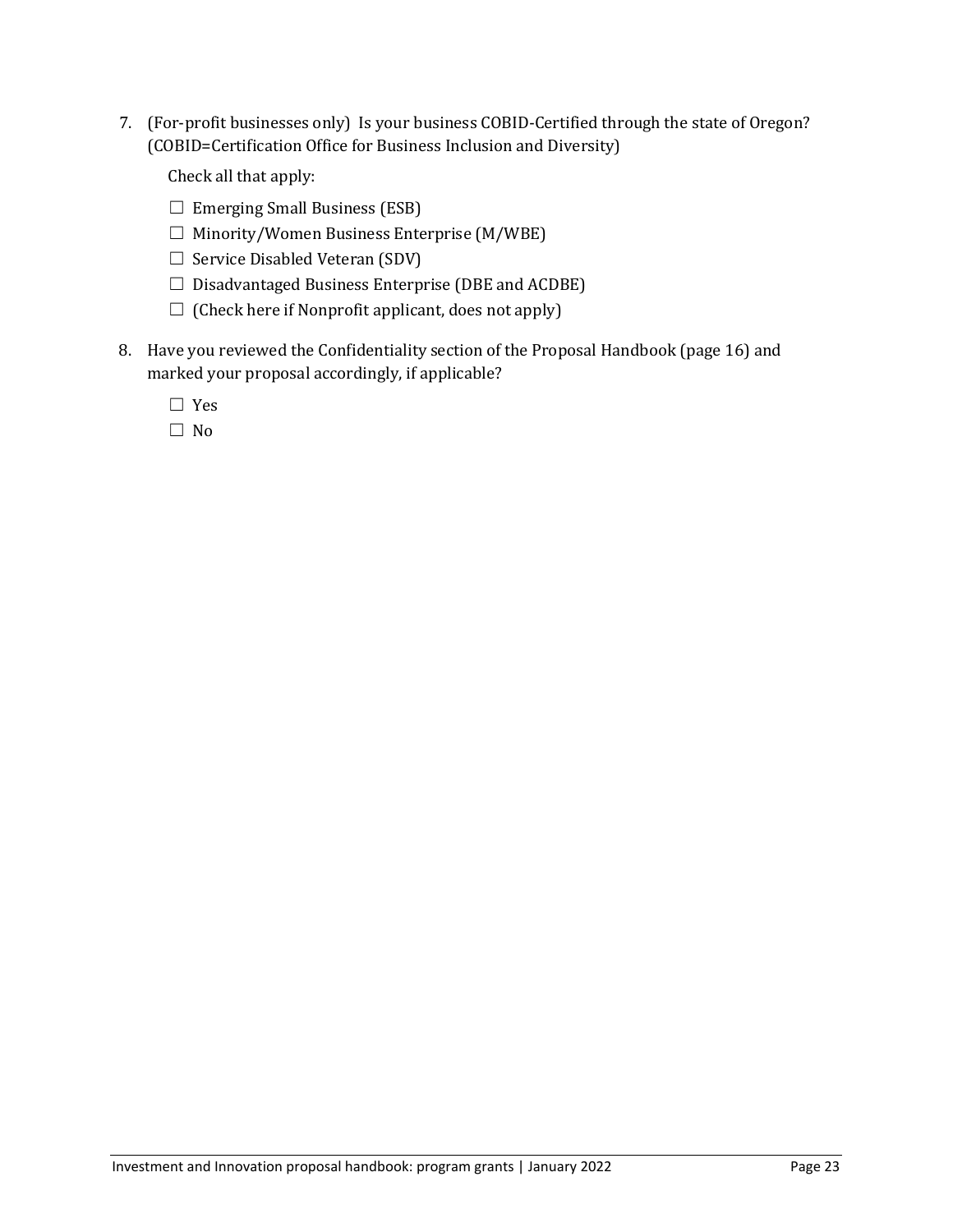7. (For-profit businesses only) Is your business COBID-Certified through the state of Oregon? (COBID=Certification Office for Business Inclusion and Diversity)

Check all that apply:

- $\Box$  Emerging Small Business (ESB)
- $\Box$  Minority/Women Business Enterprise (M/WBE)
- $\Box$  Service Disabled Veteran (SDV)
- $\Box$  Disadvantaged Business Enterprise (DBE and ACDBE)
- $\Box$  (Check here if Nonprofit applicant, does not apply)
- 8. Have you reviewed the Confidentiality section of the Proposal Handbook (page 16) and marked your proposal accordingly, if applicable?

☐ Yes

☐ No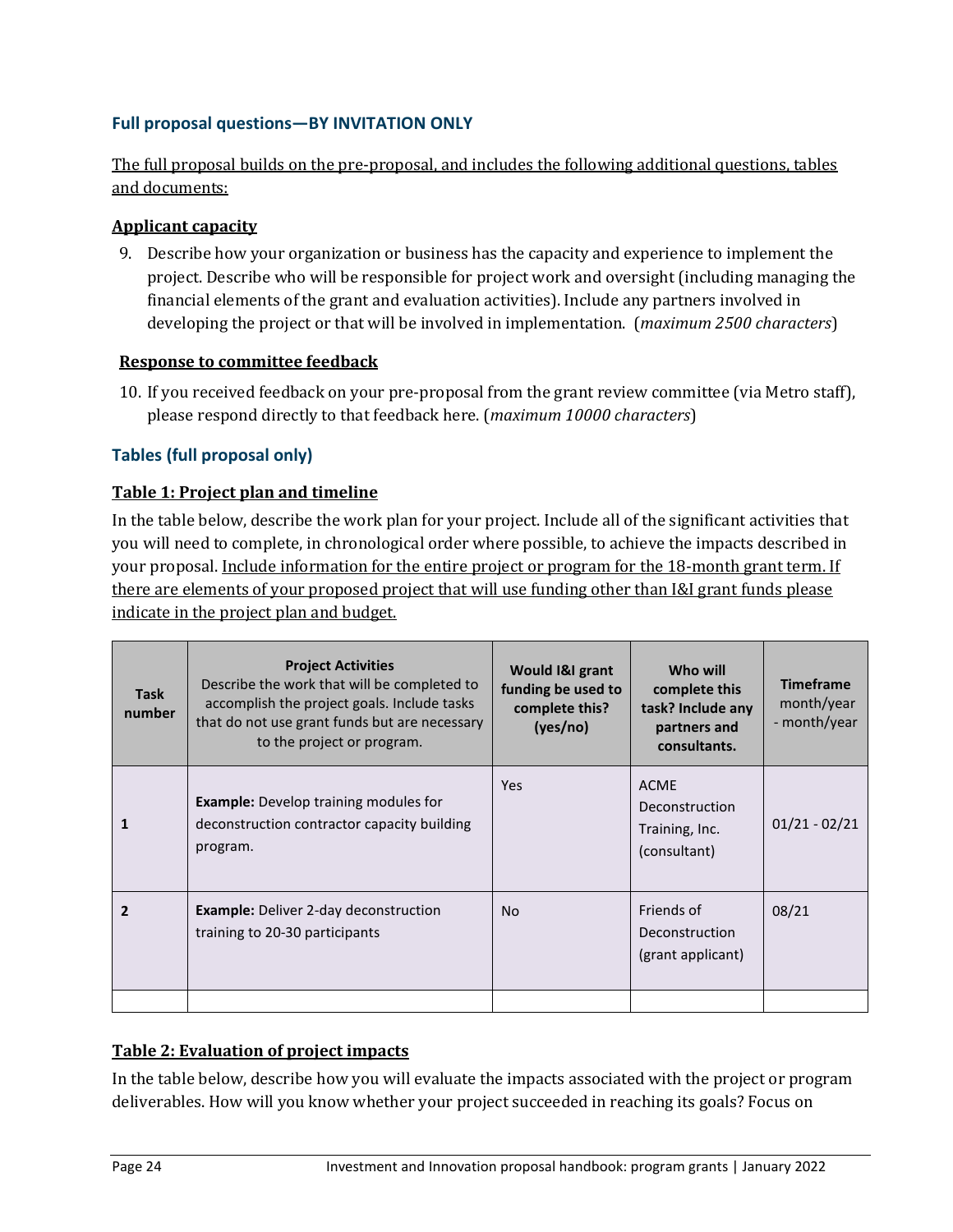# **Full proposal questions—BY INVITATION ONLY**

The full proposal builds on the pre-proposal, and includes the following additional questions, tables and documents:

#### **Applicant capacity**

9. Describe how your organization or business has the capacity and experience to implement the project. Describe who will be responsible for project work and oversight (including managing the financial elements of the grant and evaluation activities). Include any partners involved in developing the project or that will be involved in implementation. (*maximum 2500 characters*)

#### **Response to committee feedback**

10. If you received feedback on your pre-proposal from the grant review committee (via Metro staff), please respond directly to that feedback here. (*maximum 10000 characters*)

## **Tables (full proposal only)**

#### **Table 1: Project plan and timeline**

In the table below, describe the work plan for your project. Include all of the significant activities that you will need to complete, in chronological order where possible, to achieve the impacts described in your proposal. Include information for the entire project or program for the 18-month grant term. If there are elements of your proposed project that will use funding other than I&I grant funds please indicate in the project plan and budget.

| <b>Task</b><br>number | <b>Project Activities</b><br>Describe the work that will be completed to<br>accomplish the project goals. Include tasks<br>that do not use grant funds but are necessary<br>to the project or program. | Would I&I grant<br>funding be used to<br>complete this?<br>(yes/no) | Who will<br>complete this<br>task? Include any<br>partners and<br>consultants. | <b>Timeframe</b><br>month/year<br>- month/year |
|-----------------------|--------------------------------------------------------------------------------------------------------------------------------------------------------------------------------------------------------|---------------------------------------------------------------------|--------------------------------------------------------------------------------|------------------------------------------------|
| 1                     | <b>Example:</b> Develop training modules for<br>deconstruction contractor capacity building<br>program.                                                                                                | <b>Yes</b>                                                          | <b>ACME</b><br>Deconstruction<br>Training, Inc.<br>(consultant)                | $01/21 - 02/21$                                |
| $\overline{2}$        | <b>Example:</b> Deliver 2-day deconstruction<br>training to 20-30 participants                                                                                                                         | <b>No</b>                                                           | Friends of<br>Deconstruction<br>(grant applicant)                              | 08/21                                          |

#### **Table 2: Evaluation of project impacts**

In the table below, describe how you will evaluate the impacts associated with the project or program deliverables. How will you know whether your project succeeded in reaching its goals? Focus on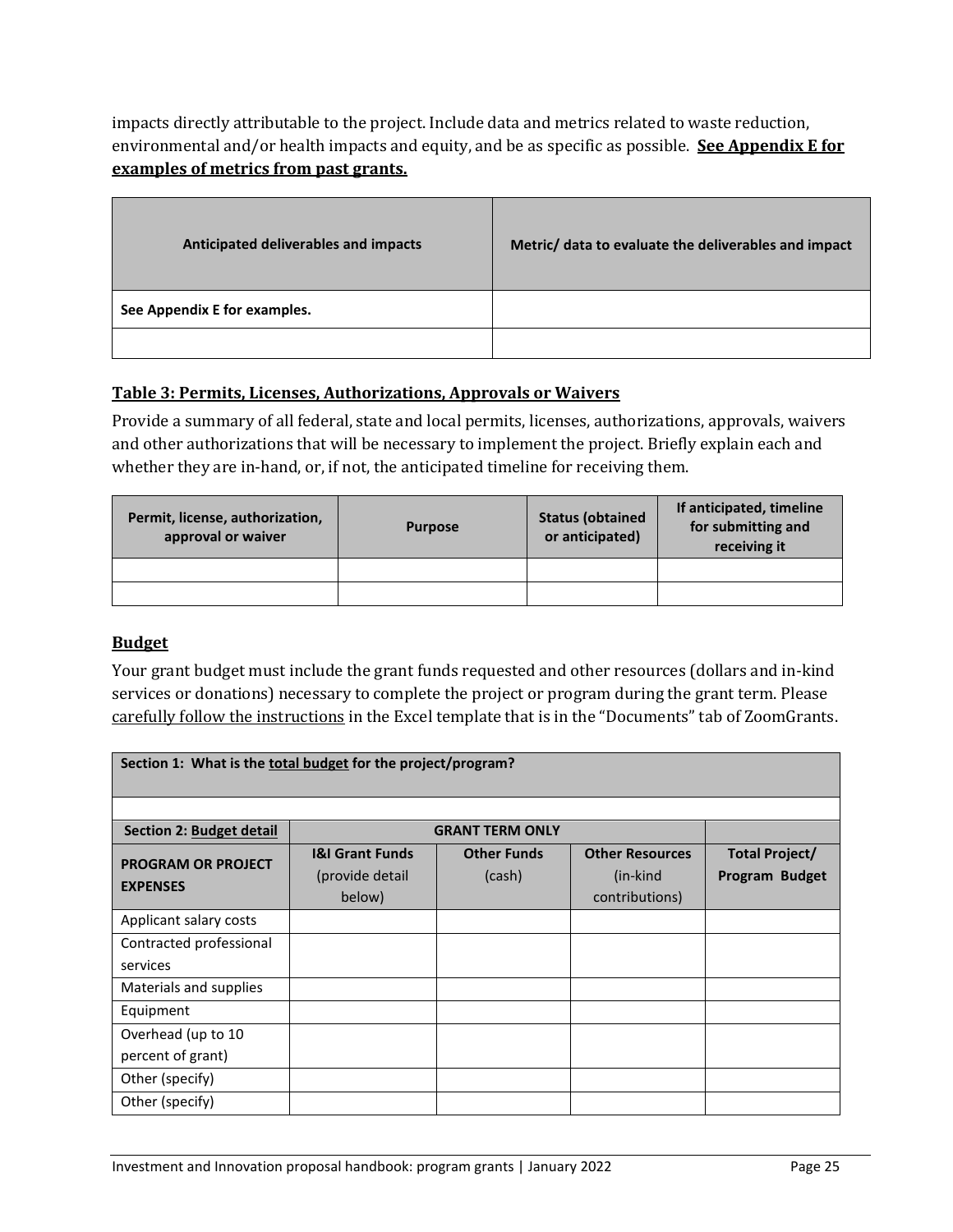impacts directly attributable to the project. Include data and metrics related to waste reduction, environmental and/or health impacts and equity, and be as specific as possible. **See Appendix E for examples of metrics from past grants.**

| Anticipated deliverables and impacts | Metric/ data to evaluate the deliverables and impact |
|--------------------------------------|------------------------------------------------------|
| See Appendix E for examples.         |                                                      |
|                                      |                                                      |

# **Table 3: Permits, Licenses, Authorizations, Approvals or Waivers**

Provide a summary of all federal, state and local permits, licenses, authorizations, approvals, waivers and other authorizations that will be necessary to implement the project. Briefly explain each and whether they are in-hand, or, if not, the anticipated timeline for receiving them.

| Permit, license, authorization,<br>approval or waiver | <b>Purpose</b> | <b>Status (obtained</b><br>or anticipated) | If anticipated, timeline<br>for submitting and<br>receiving it |
|-------------------------------------------------------|----------------|--------------------------------------------|----------------------------------------------------------------|
|                                                       |                |                                            |                                                                |
|                                                       |                |                                            |                                                                |

#### **Budget**

Your grant budget must include the grant funds requested and other resources (dollars and in-kind services or donations) necessary to complete the project or program during the grant term. Please carefully follow the instructions in the Excel template that is in the "Documents" tab of ZoomGrants.

| Section 1: What is the total budget for the project/program? |                            |                        |                        |                |
|--------------------------------------------------------------|----------------------------|------------------------|------------------------|----------------|
|                                                              |                            |                        |                        |                |
| Section 2: Budget detail                                     |                            | <b>GRANT TERM ONLY</b> |                        |                |
| <b>PROGRAM OR PROJECT</b>                                    | <b>I&amp;I Grant Funds</b> | <b>Other Funds</b>     | <b>Other Resources</b> | Total Project/ |
| <b>EXPENSES</b>                                              | (provide detail)           | (cash)                 | (in-kind               | Program Budget |
|                                                              | below)                     |                        | contributions)         |                |
| Applicant salary costs                                       |                            |                        |                        |                |
| Contracted professional                                      |                            |                        |                        |                |
| services                                                     |                            |                        |                        |                |
| Materials and supplies                                       |                            |                        |                        |                |
| Equipment                                                    |                            |                        |                        |                |
| Overhead (up to 10                                           |                            |                        |                        |                |
| percent of grant)                                            |                            |                        |                        |                |
| Other (specify)                                              |                            |                        |                        |                |
| Other (specify)                                              |                            |                        |                        |                |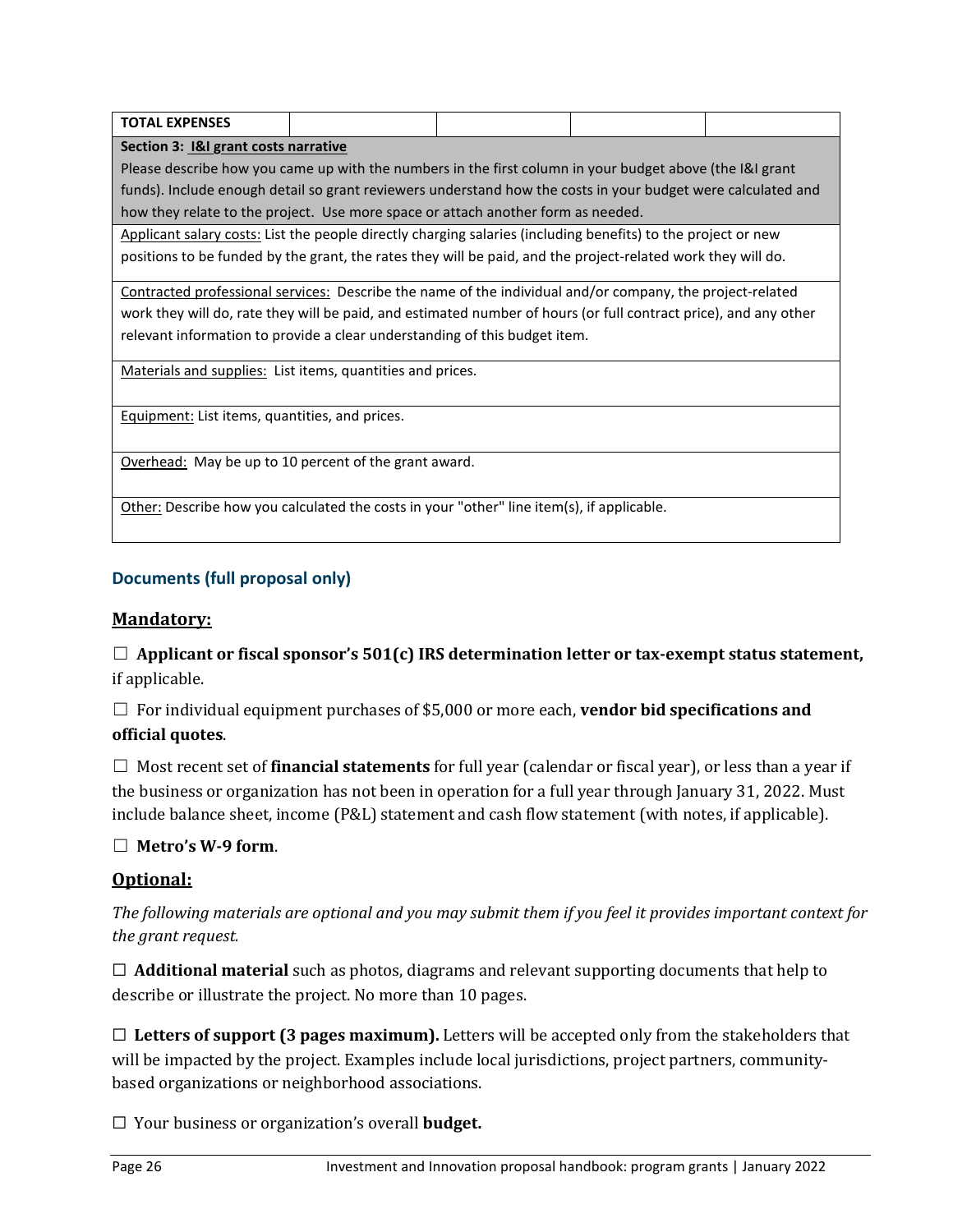| TOTAL EXPENSES                                                                                          |  |  |  |  |
|---------------------------------------------------------------------------------------------------------|--|--|--|--|
| Section 3: I&I grant costs narrative                                                                    |  |  |  |  |
| Please describe how you came up with the numbers in the first column in your budget above (the K) grant |  |  |  |  |

funds). Include enough detail so grant reviewers understand how the costs in your budget were calculated and how they relate to the project. Use more space or attach another form as needed.

Applicant salary costs: List the people directly charging salaries (including benefits) to the project or new positions to be funded by the grant, the rates they will be paid, and the project-related work they will do.

Contracted professional services: Describe the name of the individual and/or company, the project-related work they will do, rate they will be paid, and estimated number of hours (or full contract price), and any other relevant information to provide a clear understanding of this budget item.

Materials and supplies: List items, quantities and prices.

Equipment: List items, quantities, and prices.

Overhead: May be up to 10 percent of the grant award.

Other: Describe how you calculated the costs in your "other" line item(s), if applicable.

# **Documents (full proposal only)**

# **Mandatory:**

 $\Box$  Applicant or fiscal sponsor's 501(c) IRS determination letter or tax-exempt status statement, if applicable.

☐ For individual equipment purchases of \$5,000 or more each, **vendor bid specifications and official quotes**.

☐ Most recent set of **financial statements** for full year (calendar or fiscal year), or less than a year if the business or organization has not been in operation for a full year through January 31, 2022. Must include balance sheet, income (P&L) statement and cash flow statement (with notes, if applicable).

# ☐ **Metro's W-9 form**.

# **Optional:**

*The following materials are optional and you may submit them if you feel it provides important context for the grant request.* 

☐ **Additional material** such as photos, diagrams and relevant supporting documents that help to describe or illustrate the project. No more than 10 pages.

 $\Box$  **Letters of support (3 pages maximum).** Letters will be accepted only from the stakeholders that will be impacted by the project. Examples include local jurisdictions, project partners, communitybased organizations or neighborhood associations.

☐ Your business or organization's overall **budget.**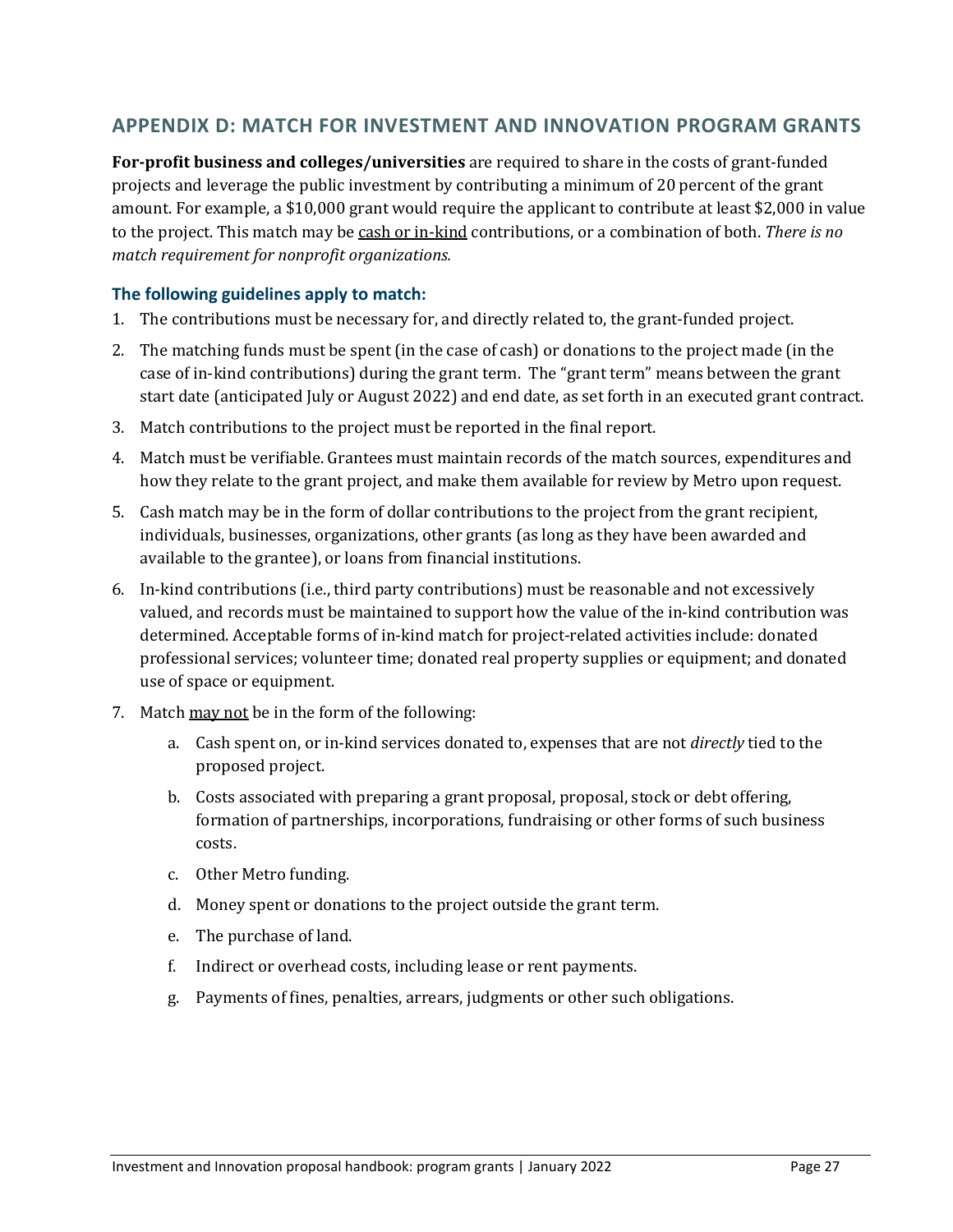# **APPENDIX D: MATCH FOR INVESTMENT AND INNOVATION PROGRAM GRANTS**

**For-profit business and colleges/universities** are required to share in the costs of grant-funded projects and leverage the public investment by contributing a minimum of 20 percent of the grant amount. For example, a \$10,000 grant would require the applicant to contribute at least \$2,000 in value to the project. This match may be cash or in-kind contributions, or a combination of both. *There is no match requirement for nonprofit organizations.*

#### **The following guidelines apply to match:**

- 1. The contributions must be necessary for, and directly related to, the grant-funded project.
- 2. The matching funds must be spent (in the case of cash) or donations to the project made (in the case of in-kind contributions) during the grant term. The "grant term" means between the grant start date (anticipated July or August 2022) and end date, as set forth in an executed grant contract.
- 3. Match contributions to the project must be reported in the final report.
- 4. Match must be verifiable. Grantees must maintain records of the match sources, expenditures and how they relate to the grant project, and make them available for review by Metro upon request.
- 5. Cash match may be in the form of dollar contributions to the project from the grant recipient, individuals, businesses, organizations, other grants (as long as they have been awarded and available to the grantee), or loans from financial institutions.
- 6. In-kind contributions (i.e., third party contributions) must be reasonable and not excessively valued, and records must be maintained to support how the value of the in-kind contribution was determined. Acceptable forms of in-kind match for project-related activities include: donated professional services; volunteer time; donated real property supplies or equipment; and donated use of space or equipment.
- 7. Match may not be in the form of the following:
	- a. Cash spent on, or in-kind services donated to, expenses that are not *directly* tied to the proposed project.
	- b. Costs associated with preparing a grant proposal, proposal, stock or debt offering, formation of partnerships, incorporations, fundraising or other forms of such business costs.
	- c. Other Metro funding.
	- d. Money spent or donations to the project outside the grant term.
	- e. The purchase of land.
	- f. Indirect or overhead costs, including lease or rent payments.
	- g. Payments of fines, penalties, arrears, judgments or other such obligations.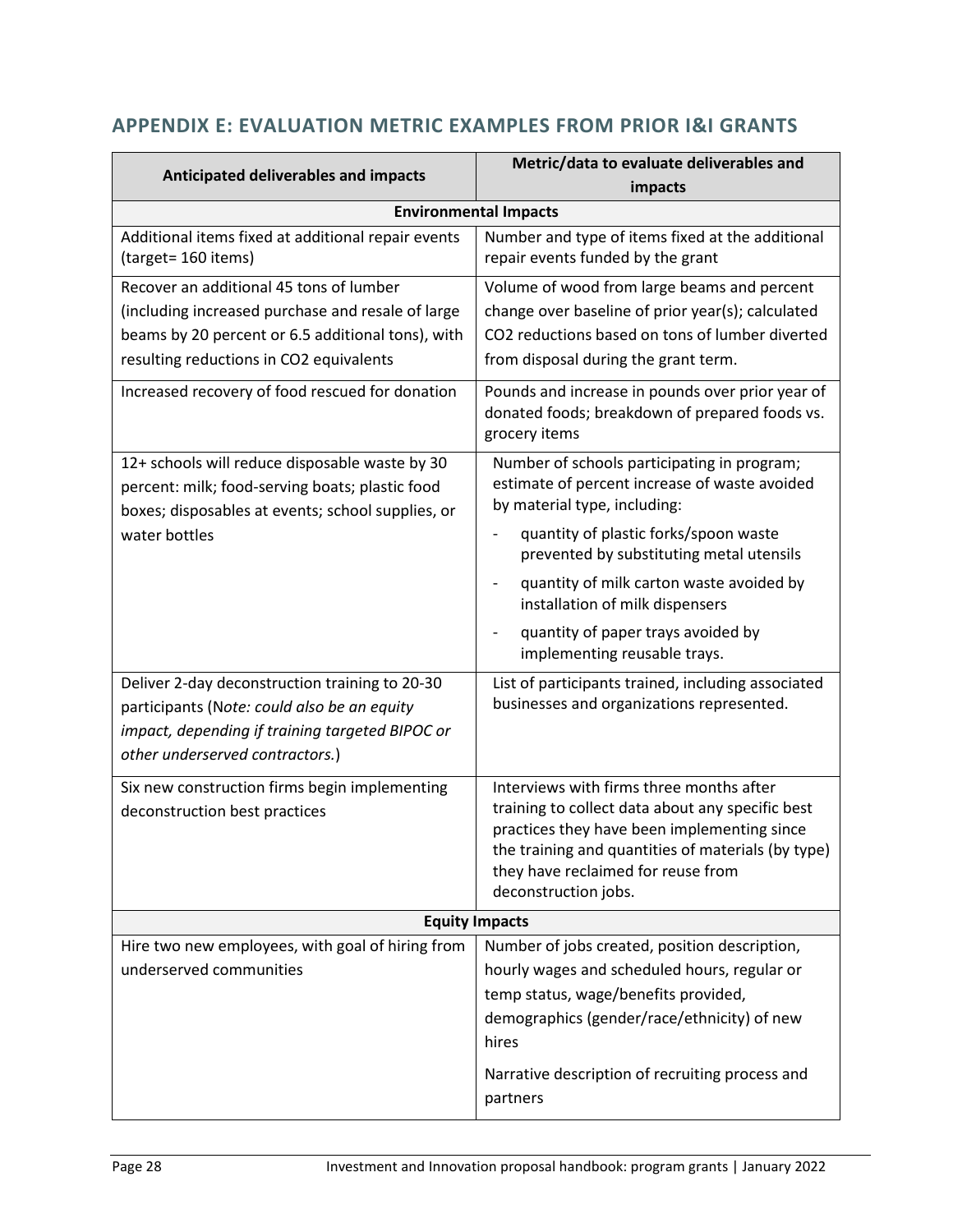# **APPENDIX E: EVALUATION METRIC EXAMPLES FROM PRIOR I&I GRANTS**

| Metric/data to evaluate deliverables and                                                                                                                                                                                                                                                                          |  |
|-------------------------------------------------------------------------------------------------------------------------------------------------------------------------------------------------------------------------------------------------------------------------------------------------------------------|--|
| impacts                                                                                                                                                                                                                                                                                                           |  |
| <b>Environmental Impacts</b>                                                                                                                                                                                                                                                                                      |  |
| Number and type of items fixed at the additional<br>repair events funded by the grant                                                                                                                                                                                                                             |  |
| Volume of wood from large beams and percent<br>change over baseline of prior year(s); calculated<br>CO2 reductions based on tons of lumber diverted<br>from disposal during the grant term.<br>Pounds and increase in pounds over prior year of<br>donated foods; breakdown of prepared foods vs.                 |  |
| grocery items<br>Number of schools participating in program;<br>estimate of percent increase of waste avoided<br>by material type, including:<br>quantity of plastic forks/spoon waste<br>prevented by substituting metal utensils<br>quantity of milk carton waste avoided by<br>installation of milk dispensers |  |
| quantity of paper trays avoided by<br>implementing reusable trays.                                                                                                                                                                                                                                                |  |
| List of participants trained, including associated<br>businesses and organizations represented.                                                                                                                                                                                                                   |  |
| Interviews with firms three months after<br>training to collect data about any specific best<br>practices they have been implementing since<br>the training and quantities of materials (by type)<br>they have reclaimed for reuse from<br>deconstruction jobs.                                                   |  |
| <b>Equity Impacts</b>                                                                                                                                                                                                                                                                                             |  |
| Number of jobs created, position description,<br>hourly wages and scheduled hours, regular or<br>temp status, wage/benefits provided,<br>demographics (gender/race/ethnicity) of new<br>hires<br>Narrative description of recruiting process and<br>partners                                                      |  |
|                                                                                                                                                                                                                                                                                                                   |  |